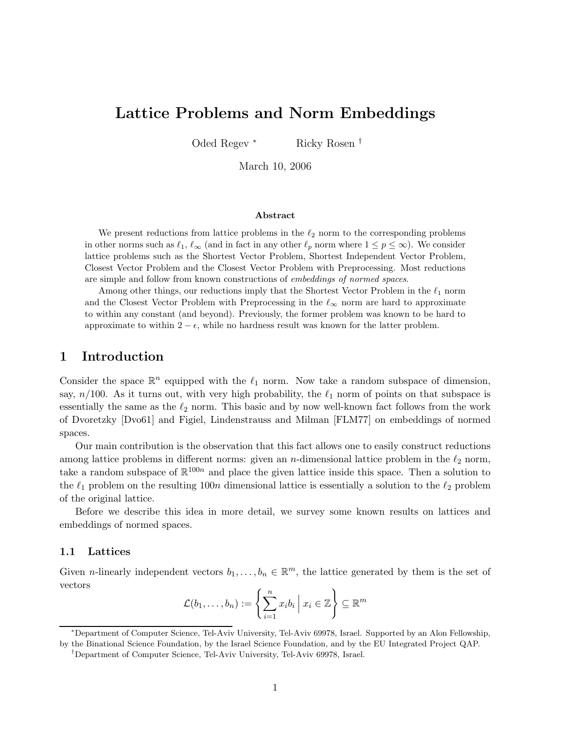# Lattice Problems and Norm Embeddings

Oded Regev <sup>∗</sup> Ricky Rosen †

March 10, 2006

#### ${\rm Abstract}$

We present reductions from lattice problems in the  $\ell_2$  norm to the corresponding problems in other norms such as  $\ell_1, \ell_\infty$  (and in fact in any other  $\ell_p$  norm where  $1 \le p \le \infty$ ). We consider lattice problems such as the Shortest Vector Problem, Shortest Independent Vector Problem, Closest Vector Problem and the Closest Vector Problem with Preprocessing. Most reductions are simple and follow from known constructions of embeddings of normed spaces.

Among other things, our reductions imply that the Shortest Vector Problem in the  $\ell_1$  norm and the Closest Vector Problem with Preprocessing in the  $\ell_{\infty}$  norm are hard to approximate to within any constant (and beyond). Previously, the former problem was known to be hard to approximate to within  $2 - \epsilon$ , while no hardness result was known for the latter problem.

## 1 Introduction

Consider the space  $\mathbb{R}^n$  equipped with the  $\ell_1$  norm. Now take a random subspace of dimension, say,  $n/100$ . As it turns out, with very high probability, the  $\ell_1$  norm of points on that subspace is essentially the same as the  $\ell_2$  norm. This basic and by now well-known fact follows from the work of Dvoretzky [Dvo61] and Figiel, Lindenstrauss and Milman [FLM77] on embeddings of normed spaces.

Our main contribution is the observation that this fact allows one to easily construct reductions among lattice problems in different norms: given an *n*-dimensional lattice problem in the  $\ell_2$  norm, take a random subspace of  $\mathbb{R}^{100n}$  and place the given lattice inside this space. Then a solution to the  $\ell_1$  problem on the resulting 100n dimensional lattice is essentially a solution to the  $\ell_2$  problem of the original lattice.

Before we describe this idea in more detail, we survey some known results on lattices and embeddings of normed spaces.

### 1.1 Lattices

Given *n*-linearly independent vectors  $b_1, \ldots, b_n \in \mathbb{R}^m$ , the lattice generated by them is the set of vectors

$$
\mathcal{L}(b_1,\ldots,b_n):=\left\{\sum_{i=1}^n x_i b_i \mid x_i \in \mathbb{Z}\right\} \subseteq \mathbb{R}^m
$$

<sup>∗</sup>Department of Computer Science, Tel-Aviv University, Tel-Aviv 69978, Israel. Supported by an Alon Fellowship,

by the Binational Science Foundation, by the Israel Science Foundation, and by the EU Integrated Project QAP.

<sup>†</sup>Department of Computer Science, Tel-Aviv University, Tel-Aviv 69978, Israel.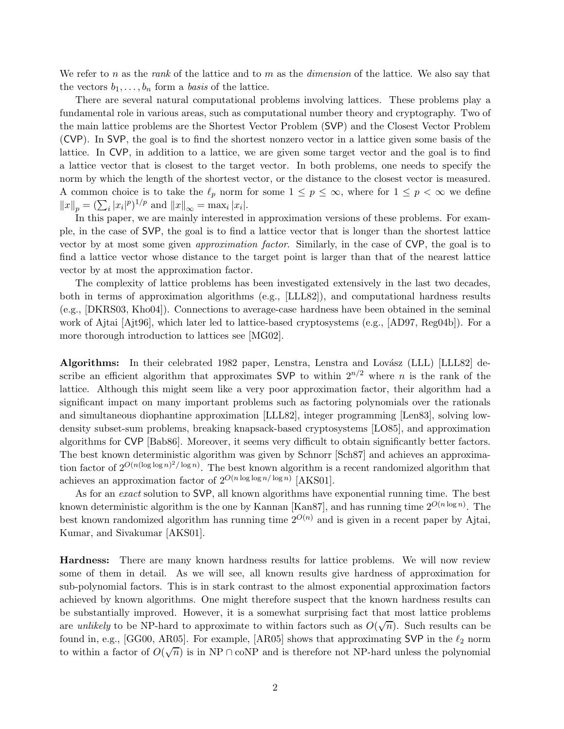We refer to n as the rank of the lattice and to m as the *dimension* of the lattice. We also say that the vectors  $b_1, \ldots, b_n$  form a *basis* of the lattice.

There are several natural computational problems involving lattices. These problems play a fundamental role in various areas, such as computational number theory and cryptography. Two of the main lattice problems are the Shortest Vector Problem (SVP) and the Closest Vector Problem (CVP). In SVP, the goal is to find the shortest nonzero vector in a lattice given some basis of the lattice. In CVP, in addition to a lattice, we are given some target vector and the goal is to find a lattice vector that is closest to the target vector. In both problems, one needs to specify the norm by which the length of the shortest vector, or the distance to the closest vector is measured. A common choice is to take the  $\ell_p$  norm for some  $1 \leq p \leq \infty$ , where for  $1 \leq p < \infty$  we define  $||x||_p = (\sum_i |x_i|^p)^{1/p}$  and  $||x||_{\infty} = \max_i |x_i|$ .

In this paper, we are mainly interested in approximation versions of these problems. For example, in the case of SVP, the goal is to find a lattice vector that is longer than the shortest lattice vector by at most some given approximation factor. Similarly, in the case of CVP, the goal is to find a lattice vector whose distance to the target point is larger than that of the nearest lattice vector by at most the approximation factor.

The complexity of lattice problems has been investigated extensively in the last two decades, both in terms of approximation algorithms (e.g., [LLL82]), and computational hardness results (e.g., [DKRS03, Kho04]). Connections to average-case hardness have been obtained in the seminal work of Ajtai [Ajt96], which later led to lattice-based cryptosystems (e.g., [AD97, Reg04b]). For a more thorough introduction to lattices see [MG02].

Algorithms: In their celebrated 1982 paper, Lenstra, Lenstra and Lovász (LLL) [LLL82] describe an efficient algorithm that approximates SVP to within  $2^{n/2}$  where n is the rank of the lattice. Although this might seem like a very poor approximation factor, their algorithm had a significant impact on many important problems such as factoring polynomials over the rationals and simultaneous diophantine approximation [LLL82], integer programming [Len83], solving lowdensity subset-sum problems, breaking knapsack-based cryptosystems [LO85], and approximation algorithms for CVP [Bab86]. Moreover, it seems very difficult to obtain significantly better factors. The best known deterministic algorithm was given by Schnorr [Sch87] and achieves an approximation factor of  $2^{O(n(\log \log n)^2/\log n)}$ . The best known algorithm is a recent randomized algorithm that achieves an approximation factor of  $2^{O(n \log \log n / \log n)}$  [AKS01].

As for an exact solution to SVP, all known algorithms have exponential running time. The best known deterministic algorithm is the one by Kannan [Kan87], and has running time  $2^{O(n \log n)}$ . The best known randomized algorithm has running time  $2^{O(n)}$  and is given in a recent paper by Aitai, Kumar, and Sivakumar [AKS01].

Hardness: There are many known hardness results for lattice problems. We will now review some of them in detail. As we will see, all known results give hardness of approximation for sub-polynomial factors. This is in stark contrast to the almost exponential approximation factors achieved by known algorithms. One might therefore suspect that the known hardness results can be substantially improved. However, it is a somewhat surprising fact that most lattice problems are unlikely to be NP-hard to approximate to within factors such as  $O(\sqrt{n})$ . Such results can be found in, e.g., [GG00, AR05]. For example, [AR05] shows that approximating SVP in the  $\ell_2$  norm to within a factor of  $O(\sqrt{n})$  is in NP ∩ coNP and is therefore not NP-hard unless the polynomial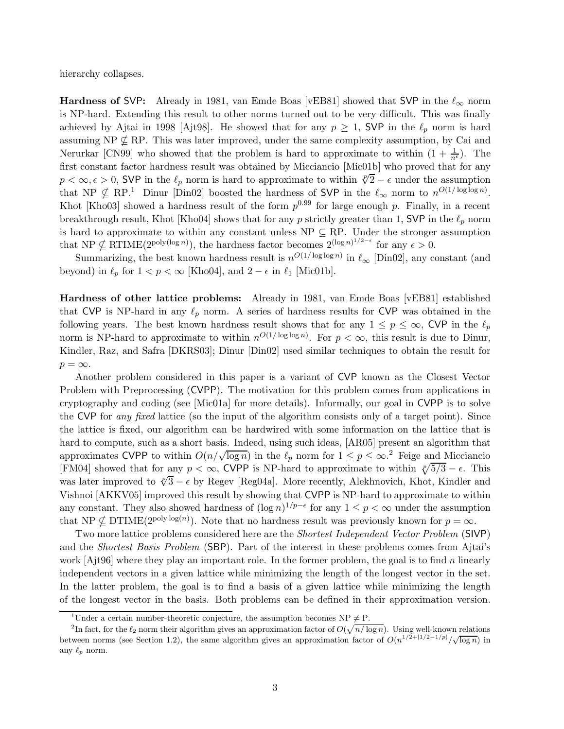hierarchy collapses.

Hardness of SVP: Already in 1981, van Emde Boas [vEB81] showed that SVP in the  $\ell_{\infty}$  norm is NP-hard. Extending this result to other norms turned out to be very difficult. This was finally achieved by Ajtai in 1998 [Ajt98]. He showed that for any  $p \ge 1$ , SVP in the  $\ell_p$  norm is hard assuming NP  $\nsubseteq$  RP. This was later improved, under the same complexity assumption, by Cai and Nerurkar [CN99] who showed that the problem is hard to approximate to within  $(1 + \frac{1}{n^{\epsilon}})$ . The first constant factor hardness result was obtained by Micciancio [Mic01b] who proved that for any  $p < \infty, \epsilon > 0$ , SVP in the  $\ell_p$  norm is hard to approximate to within  $\sqrt[p]{2} - \epsilon$  under the assumption that NP  $\nsubseteq$  RP.<sup>1</sup> Dinur [Din02] boosted the hardness of SVP in the  $\ell_{\infty}$  norm to  $n^{O(1/\log \log n)}$ . Khot [Kho03] showed a hardness result of the form  $p^{0.99}$  for large enough p. Finally, in a recent breakthrough result, Khot [Kho04] shows that for any p strictly greater than 1, SVP in the  $\ell_p$  norm is hard to approximate to within any constant unless  $NP \subseteq RP$ . Under the stronger assumption that NP  $\nsubseteq$  RTIME(2<sup>poly(log n)</sup>), the hardness factor becomes  $2^{(\log n)^{1/2-\epsilon}}$  for any  $\epsilon > 0$ .

Summarizing, the best known hardness result is  $n^{O(1/\log \log n)}$  in  $\ell_{\infty}$  [Din02], any constant (and beyond) in  $\ell_p$  for  $1 < p < \infty$  [Kho04], and  $2 - \epsilon$  in  $\ell_1$  [Mic01b].

Hardness of other lattice problems: Already in 1981, van Emde Boas [vEB81] established that CVP is NP-hard in any  $\ell_p$  norm. A series of hardness results for CVP was obtained in the following years. The best known hardness result shows that for any  $1 \le p \le \infty$ , CVP in the  $\ell_p$ norm is NP-hard to approximate to within  $n^{O(1/\log \log n)}$ . For  $p < \infty$ , this result is due to Dinur, Kindler, Raz, and Safra [DKRS03]; Dinur [Din02] used similar techniques to obtain the result for  $p = \infty$ .

Another problem considered in this paper is a variant of CVP known as the Closest Vector Problem with Preprocessing (CVPP). The motivation for this problem comes from applications in cryptography and coding (see [Mic01a] for more details). Informally, our goal in CVPP is to solve the CVP for *any fixed* lattice (so the input of the algorithm consists only of a target point). Since the lattice is fixed, our algorithm can be hardwired with some information on the lattice that is hard to compute, such as a short basis. Indeed, using such ideas, [AR05] present an algorithm that approximates CVPP to within  $O(n/\sqrt{\log n})$  in the  $\ell_p$  norm for  $1 \le p \le \infty$ .<sup>2</sup> Feige and Micciancio [FM04] showed that for any  $p < \infty$ , CVPP is NP-hard to approximate to within  $\sqrt[p]{5/3} - \epsilon$ . This was later improved to  $\sqrt[p]{3} - \epsilon$  by Regev [Reg04a]. More recently, Alekhnovich, Khot, Kindler and Vishnoi [AKKV05] improved this result by showing that CVPP is NP-hard to approximate to within any constant. They also showed hardness of  $(\log n)^{1/p-\epsilon}$  for any  $1 \le p < \infty$  under the assumption that NP  $\nsubseteq$  DTIME(2<sup>poly log(n)</sup>). Note that no hardness result was previously known for  $p = \infty$ .

Two more lattice problems considered here are the *Shortest Independent Vector Problem* (SIVP) and the *Shortest Basis Problem* (SBP). Part of the interest in these problems comes from Ajtai's work  $[A]$ t $[4]$  where they play an important role. In the former problem, the goal is to find n linearly independent vectors in a given lattice while minimizing the length of the longest vector in the set. In the latter problem, the goal is to find a basis of a given lattice while minimizing the length of the longest vector in the basis. Both problems can be defined in their approximation version.

<sup>&</sup>lt;sup>1</sup>Under a certain number-theoretic conjecture, the assumption becomes NP  $\neq$  P.

<sup>&</sup>lt;sup>2</sup>In fact, for the  $\ell_2$  norm their algorithm gives an approximation factor of  $O(\sqrt{n/\log n})$ . Using well-known relations between norms (see Section 1.2), the same algorithm gives an approximation factor of  $O(n^{1/2+|1/2-1/p|}/\sqrt{\log n})$  in any  $\ell_p$  norm.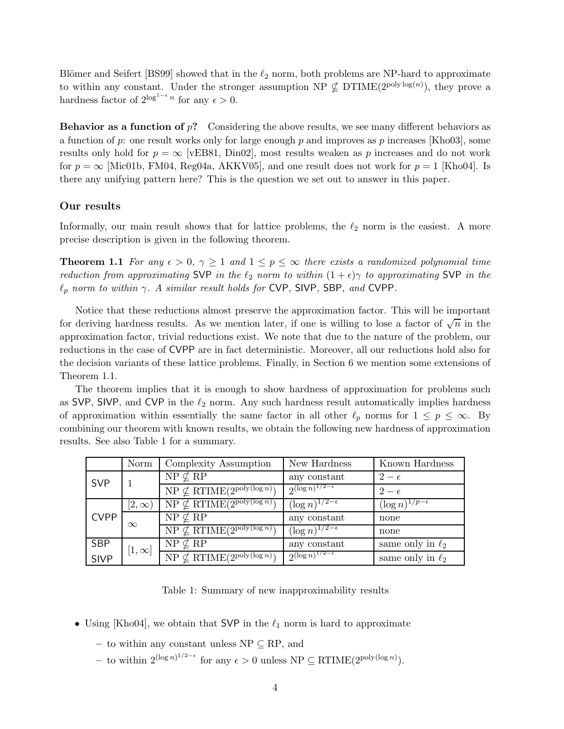Blömer and Seifert [BS99] showed that in the  $\ell_2$  norm, both problems are NP-hard to approximate to within any constant. Under the stronger assumption  $NP \nsubseteq DTIME(2^{poly \log(n)})$ , they prove a hardness factor of  $2^{\log^{1-\epsilon} n}$  for any  $\epsilon > 0$ .

**Behavior as a function of**  $p$ ? Considering the above results, we see many different behaviors as a function of p: one result works only for large enough p and improves as p increases [Kho03], some results only hold for  $p = \infty$  [vEB81, Din02], most results weaken as p increases and do not work for  $p = \infty$  [Mic01b, FM04, Reg04a, AKKV05], and one result does not work for  $p = 1$  [Kho04]. Is there any unifying pattern here? This is the question we set out to answer in this paper.

### Our results

Informally, our main result shows that for lattice problems, the  $\ell_2$  norm is the easiest. A more precise description is given in the following theorem.

**Theorem 1.1** For any  $\epsilon > 0$ ,  $\gamma \ge 1$  and  $1 \le p \le \infty$  there exists a randomized polynomial time reduction from approximating SVP in the  $\ell_2$  norm to within  $(1 + \epsilon)\gamma$  to approximating SVP in the  $\ell_p$  norm to within  $\gamma$ . A similar result holds for CVP, SIVP, SBP, and CVPP.

Notice that these reductions almost preserve the approximation factor. This will be important for deriving hardness results. As we mention later, if one is willing to lose a factor of  $\sqrt{n}$  in the approximation factor, trivial reductions exist. We note that due to the nature of the problem, our reductions in the case of CVPP are in fact deterministic. Moreover, all our reductions hold also for the decision variants of these lattice problems. Finally, in Section 6 we mention some extensions of Theorem 1.1.

The theorem implies that it is enough to show hardness of approximation for problems such as SVP, SIVP, and CVP in the  $\ell_2$  norm. Any such hardness result automatically implies hardness of approximation within essentially the same factor in all other  $\ell_p$  norms for  $1 \le p \le \infty$ . By combining our theorem with known results, we obtain the following new hardness of approximation results. See also Table 1 for a summary.

|             | Norm         | Complexity Assumption                   | New Hardness                  | Known Hardness            |
|-------------|--------------|-----------------------------------------|-------------------------------|---------------------------|
| <b>SVP</b>  |              | $NP \nsubseteq RP$                      | any constant                  | $2-\epsilon$              |
|             |              | $NP \nsubseteq RTIME(2^{poly(log n)})$  | $2^{(\log n)^{1/2-\epsilon}}$ | $2-\epsilon$              |
| <b>CVPP</b> | $[2,\infty]$ | $NP \nsubseteq RTIME(2^{poly(\log n)})$ | $(\log n)^{1/2-\epsilon}$     | $(\log n)^{1/p-\epsilon}$ |
|             | $\infty$     | $NP \nsubseteq RP$                      | any constant                  | none                      |
|             |              | $NP \nsubseteq RTIME(2^{poly(\log n)})$ | $(\log n)^{1/2-\epsilon}$     | none                      |
| SBP         | $[1,\infty]$ | $NP \nsubseteq RP$                      | any constant                  | same only in $\ell_2$     |
| <b>SIVP</b> |              | $NP \nsubseteq RTIME(2^{poly(\log n)})$ | $2^{(\log n)^{1/2-\epsilon}}$ | same only in $\ell_2$     |

Table 1: Summary of new inapproximability results

- Using [Kho04], we obtain that SVP in the  $\ell_1$  norm is hard to approximate
	- to within any constant unless  $NP \subseteq RP$ , and
	- to within 2<sup>(log n)<sup>1/2-ε</sup> for any  $\epsilon > 0$  unless NP ⊆ RTIME(2<sup>poly(log n)</sup>).</sup>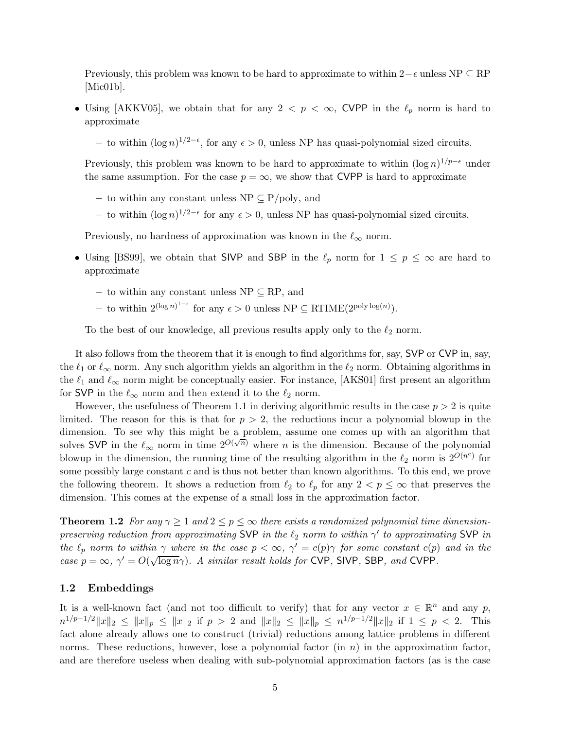Previously, this problem was known to be hard to approximate to within  $2-\epsilon$  unless NP  $\subseteq$  RP [Mic01b].

• Using [AKKV05], we obtain that for any 2  $\lt p \lt \infty$ , CVPP in the  $\ell_p$  norm is hard to approximate

– to within  $(\log n)^{1/2-\epsilon}$ , for any  $\epsilon > 0$ , unless NP has quasi-polynomial sized circuits.

Previously, this problem was known to be hard to approximate to within  $(\log n)^{1/p-\epsilon}$  under the same assumption. For the case  $p = \infty$ , we show that CVPP is hard to approximate

- to within any constant unless  $NP \subseteq P/poly$ , and
- to within  $(\log n)^{1/2-\epsilon}$  for any  $\epsilon > 0$ , unless NP has quasi-polynomial sized circuits.

Previously, no hardness of approximation was known in the  $\ell_{\infty}$  norm.

- Using [BS99], we obtain that SIVP and SBP in the  $\ell_p$  norm for  $1 \le p \le \infty$  are hard to approximate
	- to within any constant unless NP ⊆ RP, and
	- to within 2<sup>(log n)<sup>1- $\epsilon$ </sup> for any  $\epsilon > 0$  unless NP ⊆ RTIME(2<sup>poly log(n)</sup>).</sup>

To the best of our knowledge, all previous results apply only to the  $\ell_2$  norm.

It also follows from the theorem that it is enough to find algorithms for, say, SVP or CVP in, say, the  $\ell_1$  or  $\ell_{\infty}$  norm. Any such algorithm yields an algorithm in the  $\ell_2$  norm. Obtaining algorithms in the  $\ell_1$  and  $\ell_{\infty}$  norm might be conceptually easier. For instance, [AKS01] first present an algorithm for SVP in the  $\ell_{\infty}$  norm and then extend it to the  $\ell_2$  norm.

However, the usefulness of Theorem 1.1 in deriving algorithmic results in the case  $p > 2$  is quite limited. The reason for this is that for  $p > 2$ , the reductions incur a polynomial blowup in the dimension. To see why this might be a problem, assume one comes up with an algorithm that solves SVP in the  $\ell_{\infty}$  norm in time  $2^{O(\sqrt{n})}$  where *n* is the dimension. Because of the polynomial blowup in the dimension, the running time of the resulting algorithm in the  $\ell_2$  norm is  $2^{O(n^c)}$  for some possibly large constant  $c$  and is thus not better than known algorithms. To this end, we prove the following theorem. It shows a reduction from  $\ell_2$  to  $\ell_p$  for any  $2 < p \leq \infty$  that preserves the dimension. This comes at the expense of a small loss in the approximation factor.

**Theorem 1.2** For any  $\gamma \geq 1$  and  $2 \leq p \leq \infty$  there exists a randomized polynomial time dimensionpreserving reduction from approximating SVP in the  $\ell_2$  norm to within  $\gamma'$  to approximating SVP in the  $\ell_p$  norm to within  $\gamma$  where in the case  $p < \infty$ ,  $\gamma' = c(p)\gamma$  for some constant  $c(p)$  and in the case  $p = \infty$ ,  $\gamma' = O(\sqrt{\log n}\gamma)$ . A similar result holds for CVP, SIVP, SBP, and CVPP.

#### 1.2 Embeddings

It is a well-known fact (and not too difficult to verify) that for any vector  $x \in \mathbb{R}^n$  and any p,  $n^{1/p-1/2} \|x\|_2 \le \|x\|_p \le \|x\|_2$  if  $p > 2$  and  $\|x\|_2 \le \|x\|_p \le n^{1/p-1/2} \|x\|_2$  if  $1 \le p < 2$ . This fact alone already allows one to construct (trivial) reductions among lattice problems in different norms. These reductions, however, lose a polynomial factor  $(in n)$  in the approximation factor, and are therefore useless when dealing with sub-polynomial approximation factors (as is the case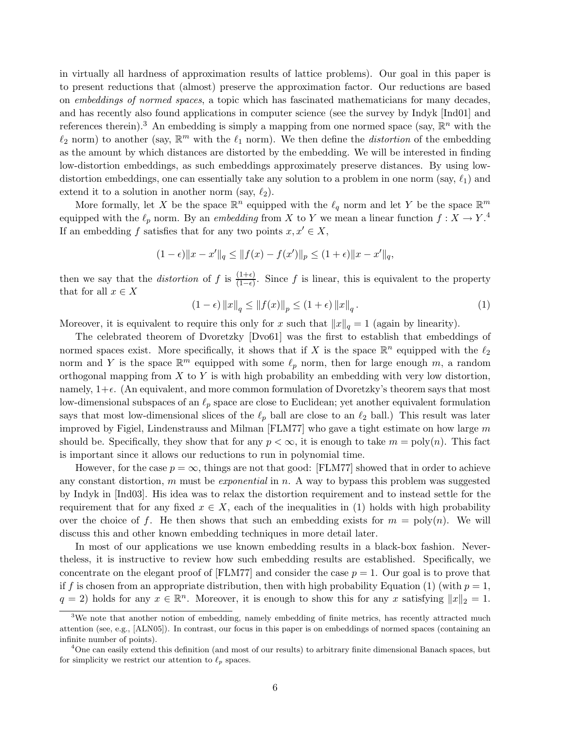in virtually all hardness of approximation results of lattice problems). Our goal in this paper is to present reductions that (almost) preserve the approximation factor. Our reductions are based on embeddings of normed spaces, a topic which has fascinated mathematicians for many decades, and has recently also found applications in computer science (see the survey by Indyk [Ind01] and references therein).<sup>3</sup> An embedding is simply a mapping from one normed space (say,  $\mathbb{R}^n$  with the  $\ell_2$  norm) to another (say,  $\mathbb{R}^m$  with the  $\ell_1$  norm). We then define the *distortion* of the embedding as the amount by which distances are distorted by the embedding. We will be interested in finding low-distortion embeddings, as such embeddings approximately preserve distances. By using lowdistortion embeddings, one can essentially take any solution to a problem in one norm (say,  $\ell_1$ ) and extend it to a solution in another norm (say,  $\ell_2$ ).

More formally, let X be the space  $\mathbb{R}^n$  equipped with the  $\ell_q$  norm and let Y be the space  $\mathbb{R}^m$ equipped with the  $\ell_p$  norm. By an *embedding* from X to Y we mean a linear function  $f : X \to Y$ .<sup>4</sup> If an embedding f satisfies that for any two points  $x, x' \in X$ ,

$$
(1 - \epsilon) \|x - x'\|_q \le \|f(x) - f(x')\|_p \le (1 + \epsilon) \|x - x'\|_q,
$$

then we say that the *distortion* of f is  $\frac{(1+\epsilon)}{(1-\epsilon)}$ . Since f is linear, this is equivalent to the property that for all  $x \in X$ 

$$
(1 - \epsilon) \|x\|_q \le \|f(x)\|_p \le (1 + \epsilon) \|x\|_q.
$$
 (1)

Moreover, it is equivalent to require this only for x such that  $||x||_q = 1$  (again by linearity).

The celebrated theorem of Dvoretzky [Dvo61] was the first to establish that embeddings of normed spaces exist. More specifically, it shows that if X is the space  $\mathbb{R}^n$  equipped with the  $\ell_2$ norm and Y is the space  $\mathbb{R}^m$  equipped with some  $\ell_p$  norm, then for large enough m, a random orthogonal mapping from  $X$  to  $Y$  is with high probability an embedding with very low distortion, namely,  $1+\epsilon$ . (An equivalent, and more common formulation of Dvoretzky's theorem says that most low-dimensional subspaces of an  $\ell_p$  space are close to Euclidean; yet another equivalent formulation says that most low-dimensional slices of the  $\ell_p$  ball are close to an  $\ell_2$  ball.) This result was later improved by Figiel, Lindenstrauss and Milman [FLM77] who gave a tight estimate on how large  $m$ should be. Specifically, they show that for any  $p < \infty$ , it is enough to take  $m = \text{poly}(n)$ . This fact is important since it allows our reductions to run in polynomial time.

However, for the case  $p = \infty$ , things are not that good: [FLM77] showed that in order to achieve any constant distortion,  $m$  must be *exponential* in  $n$ . A way to bypass this problem was suggested by Indyk in [Ind03]. His idea was to relax the distortion requirement and to instead settle for the requirement that for any fixed  $x \in X$ , each of the inequalities in (1) holds with high probability over the choice of f. He then shows that such an embedding exists for  $m = \text{poly}(n)$ . We will discuss this and other known embedding techniques in more detail later.

In most of our applications we use known embedding results in a black-box fashion. Nevertheless, it is instructive to review how such embedding results are established. Specifically, we concentrate on the elegant proof of  $[FLM77]$  and consider the case  $p = 1$ . Our goal is to prove that if f is chosen from an appropriate distribution, then with high probability Equation (1) (with  $p=1$ ,  $q = 2$ ) holds for any  $x \in \mathbb{R}^n$ . Moreover, it is enough to show this for any x satisfying  $||x||_2 = 1$ .

 $3W$ e note that another notion of embedding, namely embedding of finite metrics, has recently attracted much attention (see, e.g., [ALN05]). In contrast, our focus in this paper is on embeddings of normed spaces (containing an infinite number of points).

<sup>4</sup>One can easily extend this definition (and most of our results) to arbitrary finite dimensional Banach spaces, but for simplicity we restrict our attention to  $\ell_p$  spaces.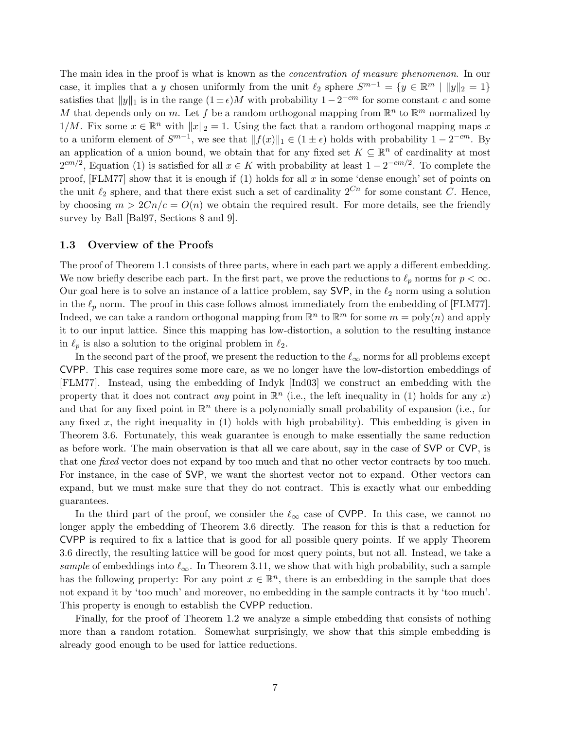The main idea in the proof is what is known as the *concentration of measure phenomenon*. In our case, it implies that a y chosen uniformly from the unit  $\ell_2$  sphere  $S^{m-1} = \{y \in \mathbb{R}^m \mid ||y||_2 = 1\}$ satisfies that  $||y||_1$  is in the range  $(1 \pm \epsilon)M$  with probability  $1 - 2^{-cm}$  for some constant c and some M that depends only on m. Let f be a random orthogonal mapping from  $\mathbb{R}^n$  to  $\mathbb{R}^m$  normalized by  $1/M$ . Fix some  $x \in \mathbb{R}^n$  with  $||x||_2 = 1$ . Using the fact that a random orthogonal mapping maps x to a uniform element of  $S^{m-1}$ , we see that  $|| f(x)||_1 \in (1 \pm \epsilon)$  holds with probability  $1 - 2^{-cm}$ . By an application of a union bound, we obtain that for any fixed set  $K \subseteq \mathbb{R}^n$  of cardinality at most  $2^{cm/2}$ , Equation (1) is satisfied for all  $x \in K$  with probability at least  $1 - 2^{-cm/2}$ . To complete the proof, [FLM77] show that it is enough if  $(1)$  holds for all x in some 'dense enough' set of points on the unit  $\ell_2$  sphere, and that there exist such a set of cardinality  $2^{C_n}$  for some constant C. Hence, by choosing  $m > 2Cn/c = O(n)$  we obtain the required result. For more details, see the friendly survey by Ball [Bal97, Sections 8 and 9].

#### 1.3 Overview of the Proofs

The proof of Theorem 1.1 consists of three parts, where in each part we apply a different embedding. We now briefly describe each part. In the first part, we prove the reductions to  $\ell_p$  norms for  $p < \infty$ . Our goal here is to solve an instance of a lattice problem, say SVP, in the  $\ell_2$  norm using a solution in the  $\ell_p$  norm. The proof in this case follows almost immediately from the embedding of [FLM77]. Indeed, we can take a random orthogonal mapping from  $\mathbb{R}^n$  to  $\mathbb{R}^m$  for some  $m = \text{poly}(n)$  and apply it to our input lattice. Since this mapping has low-distortion, a solution to the resulting instance in  $\ell_p$  is also a solution to the original problem in  $\ell_2$ .

In the second part of the proof, we present the reduction to the  $\ell_{\infty}$  norms for all problems except CVPP. This case requires some more care, as we no longer have the low-distortion embeddings of [FLM77]. Instead, using the embedding of Indyk [Ind03] we construct an embedding with the property that it does not contract *any* point in  $\mathbb{R}^n$  (i.e., the left inequality in (1) holds for any x) and that for any fixed point in  $\mathbb{R}^n$  there is a polynomially small probability of expansion (i.e., for any fixed x, the right inequality in  $(1)$  holds with high probability). This embedding is given in Theorem 3.6. Fortunately, this weak guarantee is enough to make essentially the same reduction as before work. The main observation is that all we care about, say in the case of SVP or CVP, is that one fixed vector does not expand by too much and that no other vector contracts by too much. For instance, in the case of SVP, we want the shortest vector not to expand. Other vectors can expand, but we must make sure that they do not contract. This is exactly what our embedding guarantees.

In the third part of the proof, we consider the  $\ell_{\infty}$  case of CVPP. In this case, we cannot no longer apply the embedding of Theorem 3.6 directly. The reason for this is that a reduction for CVPP is required to fix a lattice that is good for all possible query points. If we apply Theorem 3.6 directly, the resulting lattice will be good for most query points, but not all. Instead, we take a sample of embeddings into  $\ell_{\infty}$ . In Theorem 3.11, we show that with high probability, such a sample has the following property: For any point  $x \in \mathbb{R}^n$ , there is an embedding in the sample that does not expand it by 'too much' and moreover, no embedding in the sample contracts it by 'too much'. This property is enough to establish the CVPP reduction.

Finally, for the proof of Theorem 1.2 we analyze a simple embedding that consists of nothing more than a random rotation. Somewhat surprisingly, we show that this simple embedding is already good enough to be used for lattice reductions.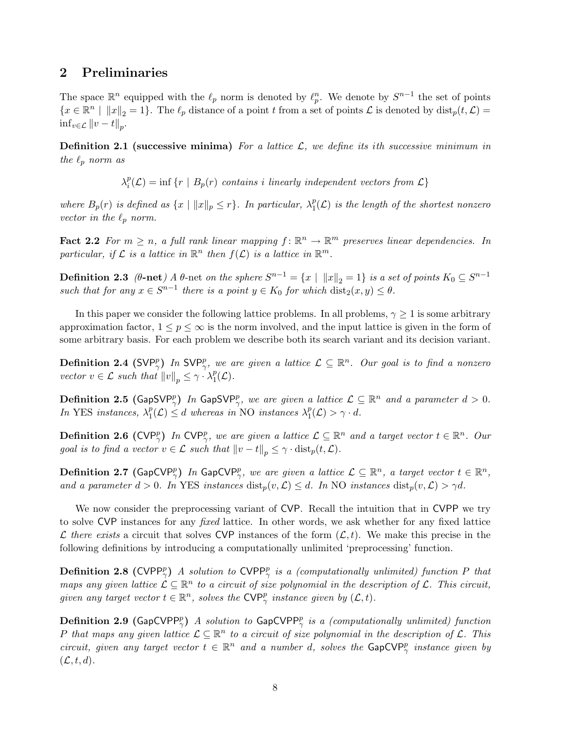# 2 Preliminaries

The space  $\mathbb{R}^n$  equipped with the  $\ell_p$  norm is denoted by  $\ell_p^n$ . We denote by  $S^{n-1}$  the set of points  ${x \in \mathbb{R}^n \mid ||x||_2 = 1}.$  The  $\ell_p$  distance of a point t from a set of points  $\mathcal L$  is denoted by  $dist_p(t, \mathcal L) =$  $\inf_{v \in \mathcal{L}} ||v - t||_p.$ 

**Definition 2.1 (successive minima)** For a lattice  $\mathcal{L}$ , we define its ith successive minimum in the  $\ell_p$  norm as

> $\lambda_i^p$  $e_i^p(\mathcal{L}) = \inf \{ r \mid B_p(r) \text{ contains } i \text{ linearly independent vectors from } \mathcal{L} \}.$

where  $B_p(r)$  is defined as  $\{x \mid ||x||_p \le r\}$ . In particular,  $\lambda_1^p$  $_{1}^{p}(\mathcal{L})$  is the length of the shortest nonzero vector in the  $\ell_p$  norm.

**Fact 2.2** For  $m \ge n$ , a full rank linear mapping  $f : \mathbb{R}^n \to \mathbb{R}^m$  preserves linear dependencies. In particular, if  $\mathcal L$  is a lattice in  $\mathbb R^n$  then  $f(\mathcal L)$  is a lattice in  $\mathbb R^m$ .

**Definition 2.3** ( $\theta$ -net) A  $\theta$ -net on the sphere  $S^{n-1} = \{x \mid ||x||_2 = 1\}$  is a set of points  $K_0 \subseteq S^{n-1}$ such that for any  $x \in S^{n-1}$  there is a point  $y \in K_0$  for which  $dist_2(x, y) \leq \theta$ .

In this paper we consider the following lattice problems. In all problems,  $\gamma \geq 1$  is some arbitrary approximation factor,  $1 \leq p \leq \infty$  is the norm involved, and the input lattice is given in the form of some arbitrary basis. For each problem we describe both its search variant and its decision variant.

**Definition 2.4** (SVP<sup>p</sup><sub>7</sub>) In SVP<sup>p</sup><sub>7</sub>, we are given a lattice  $\mathcal{L} \subseteq \mathbb{R}^n$ . Our goal is to find a nonzero vector  $v \in \mathcal{L}$  such that  $||v||_p \leq \gamma \cdot \lambda_1^p$  $_1^p(\mathcal{L}).$ 

**Definition 2.5** (GapSVP<sub> $\gamma$ </sub>) In GapSVP<sub> $\gamma$ </sub>, we are given a lattice  $\mathcal{L} \subseteq \mathbb{R}^n$  and a parameter  $d > 0$ . In YES instances,  $\lambda_1^p$  $\mathcal{L}_1^p(\mathcal{L}) \leq d$  whereas in NO instances  $\lambda_1^p$  $_1^p(\mathcal{L}) > \gamma \cdot d.$ 

**Definition 2.6** (CVP<sup>p</sup><sub>7</sub>) In CVP<sup>p</sup><sub>7</sub>, we are given a lattice  $\mathcal{L} \subseteq \mathbb{R}^n$  and a target vector  $t \in \mathbb{R}^n$ . Our goal is to find a vector  $v \in \mathcal{L}$  such that  $||v - t||_p \leq \gamma \cdot \text{dist}_p(t, \mathcal{L}).$ 

**Definition 2.7** (GapCVP<sup>p</sup><sub> $\gamma$ </sub>) In GapCVP<sub> $\gamma$ </sub>, we are given a lattice  $\mathcal{L} \subseteq \mathbb{R}^n$ , a target vector  $t \in \mathbb{R}^n$ , and a parameter  $d > 0$ . In YES instances  $dist_p(v, \mathcal{L}) \leq d$ . In NO instances  $dist_p(v, \mathcal{L}) > \gamma d$ .

We now consider the preprocessing variant of CVP. Recall the intuition that in CVPP we try to solve CVP instances for any fixed lattice. In other words, we ask whether for any fixed lattice L there exists a circuit that solves CVP instances of the form  $(\mathcal{L}, t)$ . We make this precise in the following definitions by introducing a computationally unlimited 'preprocessing' function.

**Definition 2.8 (CVPP**<sup>p</sup><sub> $\gamma$ </sub>) A solution to CVPP<sup>p</sup><sub> $\gamma$ </sub> is a (computationally unlimited) function P that maps any given lattice  $\mathcal{L} \subseteq \mathbb{R}^n$  to a circuit of size polynomial in the description of  $\mathcal{L}$ . This circuit, given any target vector  $t \in \mathbb{R}^n$ , solves the  $\text{CVP}_\gamma^p$  instance given by  $(\mathcal{L}, t)$ .

**Definition 2.9** (GapCVPP<sub>?</sub>) A solution to GapCVPP<sub>?</sub> is a (computationally unlimited) function P that maps any given lattice  $\mathcal{L} \subseteq \mathbb{R}^n$  to a circuit of size polynomial in the description of  $\mathcal{L}$ . This circuit, given any target vector  $t \in \mathbb{R}^n$  and a number d, solves the  $\textsf{GapCVP}^p_\gamma$  instance given by  $(\mathcal{L}, t, d).$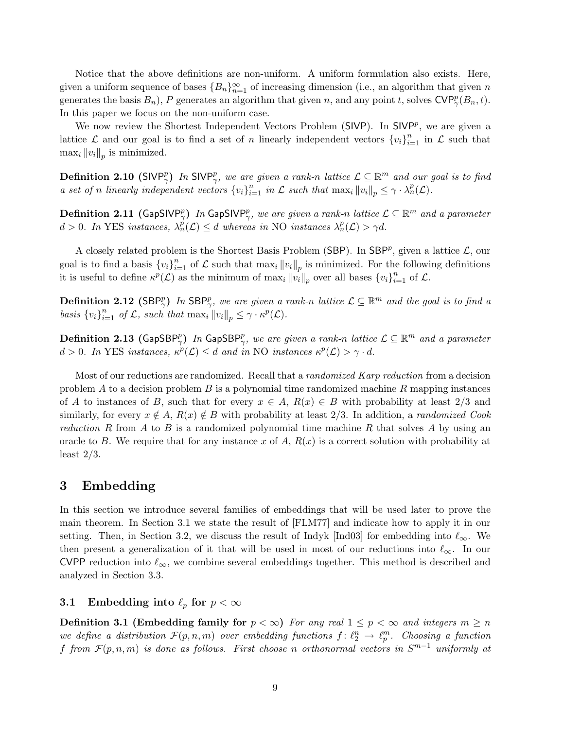Notice that the above definitions are non-uniform. A uniform formulation also exists. Here, given a uniform sequence of bases  ${B_n}_{n=1}^{\infty}$  of increasing dimension (i.e., an algorithm that given n generates the basis  $B_n$ ), P generates an algorithm that given n, and any point t, solves  $\text{CVP}_\gamma^p(B_n, t)$ . In this paper we focus on the non-uniform case.

We now review the Shortest Independent Vectors Problem ( $SIVP$ ). In  $SIVP<sup>p</sup>$ , we are given a lattice  $\mathcal L$  and our goal is to find a set of n linearly independent vectors  $\{v_i\}_{i=1}^n$  in  $\mathcal L$  such that  $\max_i \|v_i\|_p$  is minimized.

**Definition 2.10** (SIVP<sup>p</sup><sub>7</sub>) In SIVP<sub>7</sub>, we are given a rank-n lattice  $\mathcal{L} \subseteq \mathbb{R}^m$  and our goal is to find a set of n linearly independent vectors  $\{v_i\}_{i=1}^n$  in  $\mathcal L$  such that  $\max_i ||v_i||_p \leq \gamma \cdot \lambda_n^p(\mathcal L)$ .

**Definition 2.11** (GapSIVP<sub>2</sub>) In GapSIVP<sub>2</sub>, we are given a rank-n lattice  $\mathcal{L} \subseteq \mathbb{R}^m$  and a parameter  $d > 0$ . In YES instances,  $\lambda_n^{\vec{p}}(\mathcal{L}) \leq d$  whereas in NO instances  $\lambda_n^p(\mathcal{L}) > \gamma d$ .

A closely related problem is the Shortest Basis Problem (SBP). In SBP<sup>p</sup>, given a lattice  $\mathcal{L}$ , our goal is to find a basis  ${v_i}_{i=1}^n$  of  $\mathcal L$  such that  $\max_i ||v_i||_p$  is minimized. For the following definitions it is useful to define  $\kappa^p(\mathcal{L})$  as the minimum of  $\max_i ||v_i||_p$  over all bases  $\{v_i\}_{i=1}^n$  of  $\mathcal{L}$ .

**Definition 2.12** (SBP<sup>p</sup>) In SBP<sup>p</sup><sub>7</sub>, we are given a rank-n lattice  $\mathcal{L} \subseteq \mathbb{R}^m$  and the goal is to find a basis  ${v_i}_{i=1}^n$  of  $\mathcal{L}$ , such that  $\max_i ||v_i||_p \leq \gamma \cdot \kappa^p(\mathcal{L})$ .

**Definition 2.13** (GapSBP $_{\gamma}^p$ ) In GapSBP $_{\gamma}^p$ , we are given a rank-n lattice  $\mathcal{L} \subseteq \mathbb{R}^m$  and a parameter  $d > 0$ . In YES instances,  $\kappa^p(\mathcal{L}) \leq d$  and in NO instances  $\kappa^p(\mathcal{L}) > \gamma \cdot d$ .

Most of our reductions are randomized. Recall that a *randomized Karp reduction* from a decision problem A to a decision problem B is a polynomial time randomized machine R mapping instances of A to instances of B, such that for every  $x \in A$ ,  $R(x) \in B$  with probability at least 2/3 and similarly, for every  $x \notin A$ ,  $R(x) \notin B$  with probability at least 2/3. In addition, a *randomized Cook* reduction R from A to B is a randomized polynomial time machine R that solves A by using an oracle to B. We require that for any instance x of A,  $R(x)$  is a correct solution with probability at least  $2/3$ .

## 3 Embedding

In this section we introduce several families of embeddings that will be used later to prove the main theorem. In Section 3.1 we state the result of [FLM77] and indicate how to apply it in our setting. Then, in Section 3.2, we discuss the result of Indyk [Ind03] for embedding into  $\ell_{\infty}$ . We then present a generalization of it that will be used in most of our reductions into  $\ell_{\infty}$ . In our CVPP reduction into  $\ell_{\infty}$ , we combine several embeddings together. This method is described and analyzed in Section 3.3.

### 3.1 Embedding into  $\ell_p$  for  $p < \infty$

**Definition 3.1 (Embedding family for**  $p < \infty$ ) For any real  $1 \leq p < \infty$  and integers  $m \geq n$ we define a distribution  $\mathcal{F}(p,n,m)$  over embedding functions  $f: \ell_2^n \to \ell_p^m$ . Choosing a function f from  $\mathcal{F}(p,n,m)$  is done as follows. First choose n orthonormal vectors in  $S^{m-1}$  uniformly at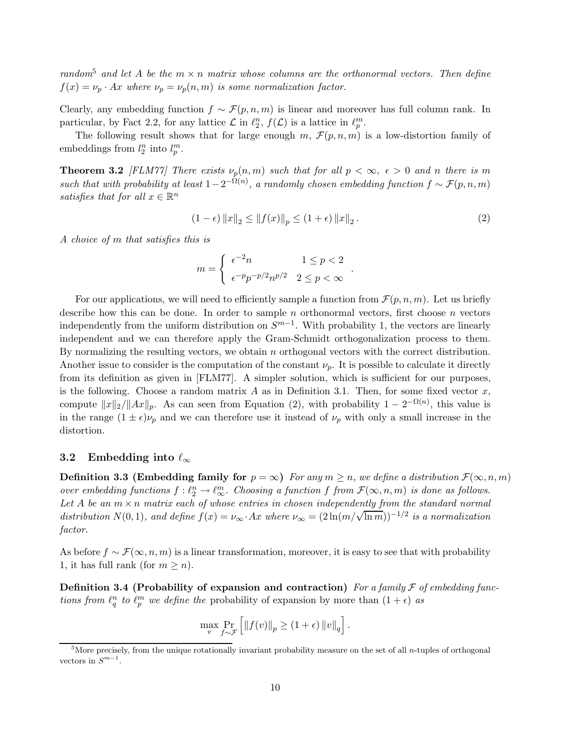random<sup>5</sup> and let A be the  $m \times n$  matrix whose columns are the orthonormal vectors. Then define  $f(x) = \nu_p \cdot Ax$  where  $\nu_p = \nu_p(n, m)$  is some normalization factor.

Clearly, any embedding function  $f \sim \mathcal{F}(p,n,m)$  is linear and moreover has full column rank. In particular, by Fact 2.2, for any lattice  $\mathcal L$  in  $\ell_2^n$ ,  $f(\mathcal L)$  is a lattice in  $\ell_p^m$ .

The following result shows that for large enough m,  $\mathcal{F}(p,n,m)$  is a low-distortion family of embeddings from  $l_2^n$  into  $l_p^m$ .

**Theorem 3.2** [FLM77] There exists  $\nu_p(n,m)$  such that for all  $p < \infty$ ,  $\epsilon > 0$  and n there is m such that with probability at least  $1-2^{-\Omega(n)}$ , a randomly chosen embedding function  $f \sim \mathcal{F}(p,n,m)$ satisfies that for all  $x \in \mathbb{R}^n$ 

$$
(1 - \epsilon) \|x\|_2 \le \|f(x)\|_p \le (1 + \epsilon) \|x\|_2.
$$
 (2)

.

A choice of m that satisfies this is

$$
m = \begin{cases} \epsilon^{-2}n & 1 \le p < 2\\ \epsilon^{-p}p^{-p/2}n^{p/2} & 2 \le p < \infty \end{cases}
$$

For our applications, we will need to efficiently sample a function from  $\mathcal{F}(p, n, m)$ . Let us briefly describe how this can be done. In order to sample n orthonormal vectors, first choose n vectors independently from the uniform distribution on  $S^{m-1}$ . With probability 1, the vectors are linearly independent and we can therefore apply the Gram-Schmidt orthogonalization process to them. By normalizing the resulting vectors, we obtain n orthogonal vectors with the correct distribution. Another issue to consider is the computation of the constant  $\nu_p$ . It is possible to calculate it directly from its definition as given in [FLM77]. A simpler solution, which is sufficient for our purposes, is the following. Choose a random matrix A as in Definition 3.1. Then, for some fixed vector x, compute  $||x||_2/||Ax||_p$ . As can seen from Equation (2), with probability  $1 - 2^{-\Omega(n)}$ , this value is in the range  $(1 \pm \epsilon)\nu_p$  and we can therefore use it instead of  $\nu_p$  with only a small increase in the distortion.

#### 3.2 Embedding into  $\ell_{\infty}$

**Definition 3.3 (Embedding family for**  $p = \infty$ ) For any  $m \geq n$ , we define a distribution  $\mathcal{F}(\infty, n, m)$ over embedding functions  $f : \ell_2^n \to \ell_\infty^m$ . Choosing a function f from  $\mathcal{F}(\infty, n, m)$  is done as follows. Let A be an  $m \times n$  matrix each of whose entries in chosen independently from the standard normal distribution  $N(0, 1)$ , and define  $f(x) = \nu_{\infty} \cdot Ax$  where  $\nu_{\infty} = (2 \ln(m/\sqrt{\ln m}))^{-1/2}$  is a normalization factor.

As before  $f \sim \mathcal{F}(\infty, n, m)$  is a linear transformation, moreover, it is easy to see that with probability 1, it has full rank (for  $m \geq n$ ).

**Definition 3.4 (Probability of expansion and contraction)** For a family  $\mathcal F$  of embedding functions from  $\ell_q^n$  to  $\ell_p^m$  we define the probability of expansion by more than  $(1 + \epsilon)$  as

$$
\max_{v} \Pr_{f \sim \mathcal{F}} \left[ \left\| f(v) \right\|_{p} \ge (1 + \epsilon) \left\| v \right\|_{q} \right].
$$

 $5$ More precisely, from the unique rotationally invariant probability measure on the set of all *n*-tuples of orthogonal vectors in  $S^{m-1}$ .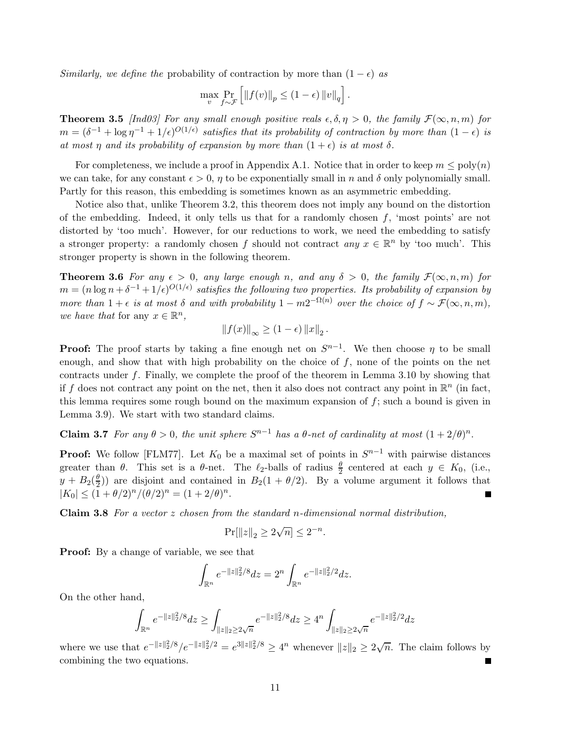Similarly, we define the probability of contraction by more than  $(1 - \epsilon)$  as

$$
\max_{v} \Pr_{f \sim \mathcal{F}} \left[ \|f(v)\|_{p} \leq (1 - \epsilon) \|v\|_{q} \right].
$$

**Theorem 3.5** [Ind03] For any small enough positive reals  $\epsilon, \delta, \eta > 0$ , the family  $\mathcal{F}(\infty, n, m)$  for  $m = (\delta^{-1} + \log \eta^{-1} + 1/\epsilon)^{O(1/\epsilon)}$  satisfies that its probability of contraction by more than  $(1 - \epsilon)$  is at most  $\eta$  and its probability of expansion by more than  $(1 + \epsilon)$  is at most  $\delta$ .

For completeness, we include a proof in Appendix A.1. Notice that in order to keep  $m \leq poly(n)$ we can take, for any constant  $\epsilon > 0$ ,  $\eta$  to be exponentially small in n and  $\delta$  only polynomially small. Partly for this reason, this embedding is sometimes known as an asymmetric embedding.

Notice also that, unlike Theorem 3.2, this theorem does not imply any bound on the distortion of the embedding. Indeed, it only tells us that for a randomly chosen  $f$ , 'most points' are not distorted by 'too much'. However, for our reductions to work, we need the embedding to satisfy a stronger property: a randomly chosen f should not contract any  $x \in \mathbb{R}^n$  by 'too much'. This stronger property is shown in the following theorem.

**Theorem 3.6** For any  $\epsilon > 0$ , any large enough n, and any  $\delta > 0$ , the family  $\mathcal{F}(\infty, n, m)$  for  $m = (n \log n + \delta^{-1} + 1/\epsilon)^{O(1/\epsilon)}$  satisfies the following two properties. Its probability of expansion by more than  $1 + \epsilon$  is at most  $\delta$  and with probability  $1 - m2^{-\Omega(n)}$  over the choice of  $f \sim \mathcal{F}(\infty, n, m)$ , we have that for any  $x \in \mathbb{R}^n$ ,

$$
||f(x)||_{\infty} \geq (1 - \epsilon) ||x||_2.
$$

**Proof:** The proof starts by taking a fine enough net on  $S^{n-1}$ . We then choose  $\eta$  to be small enough, and show that with high probability on the choice of  $f$ , none of the points on the net contracts under f. Finally, we complete the proof of the theorem in Lemma 3.10 by showing that if f does not contract any point on the net, then it also does not contract any point in  $\mathbb{R}^n$  (in fact, this lemma requires some rough bound on the maximum expansion of  $f$ ; such a bound is given in Lemma 3.9). We start with two standard claims.

**Claim 3.7** For any  $\theta > 0$ , the unit sphere  $S^{n-1}$  has a  $\theta$ -net of cardinality at most  $(1 + 2/\theta)^n$ .

**Proof:** We follow [FLM77]. Let  $K_0$  be a maximal set of points in  $S^{n-1}$  with pairwise distances greater than  $\theta$ . This set is a  $\theta$ -net. The  $\ell_2$ -balls of radius  $\frac{\theta}{2}$  centered at each  $y \in K_0$ , (i.e.,  $y + B_2(\frac{\theta}{2})$  $\frac{\theta}{2}$ ) are disjoint and contained in  $B_2(1 + \theta/2)$ . By a volume argument it follows that  $|K_0| \le (1 + \theta/2)^n/(\theta/2)^n = (1 + 2/\theta)^n$ .

**Claim 3.8** For a vector  $z$  chosen from the standard n-dimensional normal distribution,

$$
\Pr[\|z\|_2 \ge 2\sqrt{n}] \le 2^{-n}.
$$

Proof: By a change of variable, we see that

$$
\int_{\mathbb{R}^n} e^{-\|z\|_2^2/8} dz = 2^n \int_{\mathbb{R}^n} e^{-\|z\|_2^2/2} dz.
$$

On the other hand,

$$
\int_{\mathbb{R}^n} e^{-\|z\|_2^2/8} dz \geq \int_{\|z\|_2 \geq 2\sqrt{n}} e^{-\|z\|_2^2/8} dz \geq 4^n \int_{\|z\|_2 \geq 2\sqrt{n}} e^{-\|z\|_2^2/2} dz
$$

where we use that  $e^{-\|z\|_2^2/8}/e^{-\|z\|_2^2/2} = e^{3\|z\|_2^2/8} \ge 4^n$  whenever  $\|z\|_2 \ge 2\sqrt{n}$ . The claim follows by combining the two equations.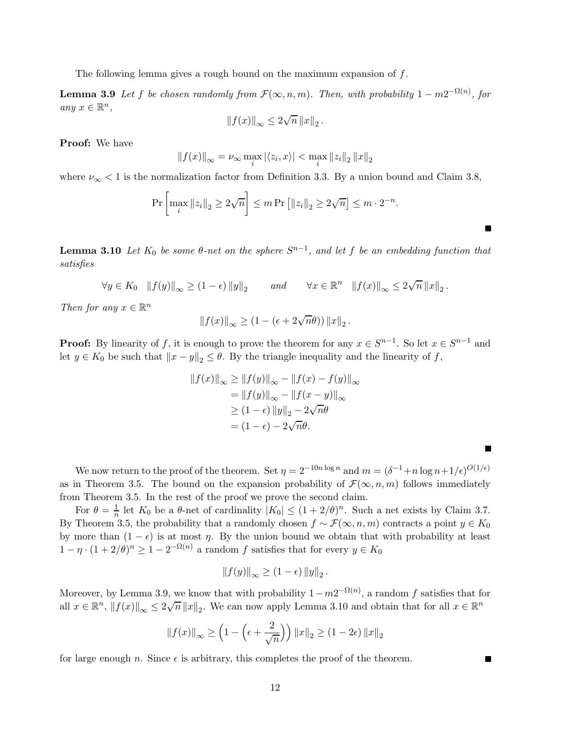The following lemma gives a rough bound on the maximum expansion of  $f$ .

**Lemma 3.9** Let f be chosen randomly from  $\mathcal{F}(\infty, n, m)$ . Then, with probability  $1 - m2^{-\Omega(n)}$ , for any  $x \in \mathbb{R}^n$ ,

$$
\|f(x)\|_{\infty}\leq 2\sqrt{n}\left\|x\right\|_{2}.
$$

Proof: We have

$$
||f(x)||_{\infty} = \nu_{\infty} \max_{i} |\langle z_i, x \rangle| < \max_{i} ||z_i||_2 ||x||_2
$$

where  $\nu_{\infty}$  < 1 is the normalization factor from Definition 3.3. By a union bound and Claim 3.8,

$$
\Pr\left[\max_{i}\|z_{i}\|_{2}\geq 2\sqrt{n}\right]\leq m \Pr\left[\|z_{i}\|_{2}\geq 2\sqrt{n}\right]\leq m\cdot 2^{-n}.
$$

**Lemma 3.10** Let  $K_0$  be some  $\theta$ -net on the sphere  $S^{n-1}$ , and let f be an embedding function that satisfies

 $\forall y \in K_0 \quad ||f(y)||_{\infty} \ge (1 - \epsilon) ||y||_2$  and  $\forall x \in \mathbb{R}^n \quad ||f(x)||_{\infty} \le 2\sqrt{n} ||x||_2$ .

Then for any  $x \in \mathbb{R}^n$ 

$$
||f(x)||_{\infty} \geq (1 - (\epsilon + 2\sqrt{n}\theta)) ||x||_2.
$$

**Proof:** By linearity of f, it is enough to prove the theorem for any  $x \in S^{n-1}$ . So let  $x \in S^{n-1}$  and let  $y \in K_0$  be such that  $||x - y||_2 \le \theta$ . By the triangle inequality and the linearity of f,

$$
||f(x)||_{\infty} \ge ||f(y)||_{\infty} - ||f(x) - f(y)||_{\infty}
$$
  
= 
$$
||f(y)||_{\infty} - ||f(x - y)||_{\infty}
$$
  

$$
\ge (1 - \epsilon) ||y||_{2} - 2\sqrt{n}\theta
$$
  
= 
$$
(1 - \epsilon) - 2\sqrt{n}\theta.
$$

We now return to the proof of the theorem. Set  $\eta = 2^{-10n \log n}$  and  $m = (\delta^{-1} + n \log n + 1/\epsilon)^{O(1/\epsilon)}$ as in Theorem 3.5. The bound on the expansion probability of  $\mathcal{F}(\infty, n, m)$  follows immediately from Theorem 3.5. In the rest of the proof we prove the second claim.

Г

For  $\theta = \frac{1}{n}$  let  $K_0$  be a  $\theta$ -net of cardinality  $|K_0| \leq (1 + 2/\theta)^n$ . Such a net exists by Claim 3.7. By Theorem 3.5, the probability that a randomly chosen  $f \sim \mathcal{F}(\infty, n, m)$  contracts a point  $y \in K_0$ by more than  $(1 - \epsilon)$  is at most  $\eta$ . By the union bound we obtain that with probability at least  $1 - \eta \cdot (1 + 2/\theta)^n \ge 1 - 2^{-\Omega(n)}$  a random f satisfies that for every  $y \in K_0$ 

$$
||f(y)||_{\infty} \geq (1 - \epsilon) ||y||_2.
$$

Moreover, by Lemma 3.9, we know that with probability  $1 - m2^{-\Omega(n)}$ , a random f satisfies that for all  $x \in \mathbb{R}^n$ ,  $||f(x)||_{\infty} \leq 2\sqrt{n} ||x||_2$ . We can now apply Lemma 3.10 and obtain that for all  $x \in \mathbb{R}^n$ 

$$
\|f(x)\|_{\infty} \ge \left(1 - \left(\epsilon + \frac{2}{\sqrt{n}}\right)\right) \|x\|_{2} \ge (1 - 2\epsilon) \|x\|_{2}
$$

for large enough n. Since  $\epsilon$  is arbitrary, this completes the proof of the theorem.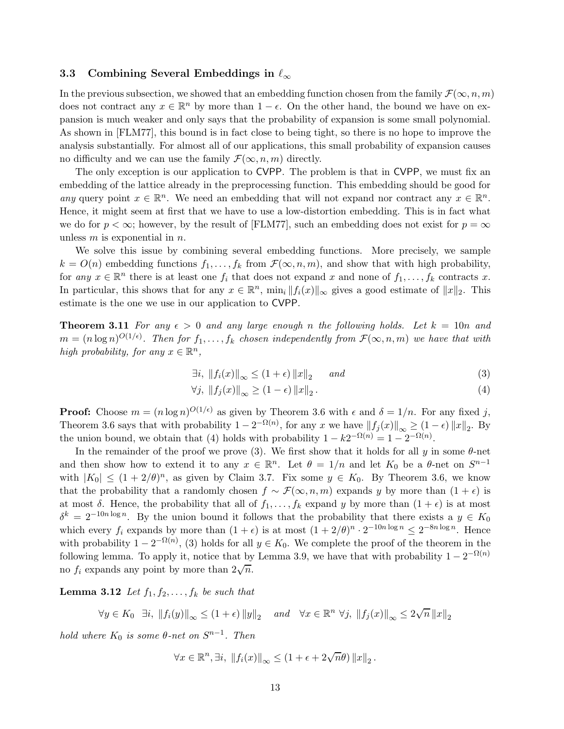#### 3.3 Combining Several Embeddings in  $\ell_{\infty}$

In the previous subsection, we showed that an embedding function chosen from the family  $\mathcal{F}(\infty, n, m)$ does not contract any  $x \in \mathbb{R}^n$  by more than  $1 - \epsilon$ . On the other hand, the bound we have on expansion is much weaker and only says that the probability of expansion is some small polynomial. As shown in [FLM77], this bound is in fact close to being tight, so there is no hope to improve the analysis substantially. For almost all of our applications, this small probability of expansion causes no difficulty and we can use the family  $\mathcal{F}(\infty, n, m)$  directly.

The only exception is our application to CVPP. The problem is that in CVPP, we must fix an embedding of the lattice already in the preprocessing function. This embedding should be good for any query point  $x \in \mathbb{R}^n$ . We need an embedding that will not expand nor contract any  $x \in \mathbb{R}^n$ . Hence, it might seem at first that we have to use a low-distortion embedding. This is in fact what we do for  $p < \infty$ ; however, by the result of [FLM77], such an embedding does not exist for  $p = \infty$ unless  $m$  is exponential in  $n$ .

We solve this issue by combining several embedding functions. More precisely, we sample  $k = O(n)$  embedding functions  $f_1, \ldots, f_k$  from  $\mathcal{F}(\infty, n, m)$ , and show that with high probability, for any  $x \in \mathbb{R}^n$  there is at least one  $f_i$  that does not expand x and none of  $f_1, \ldots, f_k$  contracts x. In particular, this shows that for any  $x \in \mathbb{R}^n$ ,  $\min_i ||f_i(x)||_{\infty}$  gives a good estimate of  $||x||_2$ . This estimate is the one we use in our application to CVPP.

**Theorem 3.11** For any  $\epsilon > 0$  and any large enough n the following holds. Let  $k = 10n$  and  $m = (n \log n)^{O(1/\epsilon)}$ . Then for  $f_1, \ldots, f_k$  chosen independently from  $\mathcal{F}(\infty, n, m)$  we have that with high probability, for any  $x \in \mathbb{R}^n$ ,

$$
\exists i, \|f_i(x)\|_{\infty} \le (1+\epsilon) \|x\|_2 \quad \text{and} \tag{3}
$$

$$
\forall j, \left\|f_j(x)\right\|_{\infty} \ge (1 - \epsilon) \left\|x\right\|_2. \tag{4}
$$

**Proof:** Choose  $m = (n \log n)^{O(1/\epsilon)}$  as given by Theorem 3.6 with  $\epsilon$  and  $\delta = 1/n$ . For any fixed j, Theorem 3.6 says that with probability  $1 - 2^{-\Omega(n)}$ , for any x we have  $||f_j(x)||_{\infty} \ge (1 - \epsilon) ||x||_2$ . By the union bound, we obtain that (4) holds with probability  $1 - k2^{-\Omega(n)} = 1 - 2^{-\Omega(n)}$ .

In the remainder of the proof we prove (3). We first show that it holds for all y in some  $\theta$ -net and then show how to extend it to any  $x \in \mathbb{R}^n$ . Let  $\theta = 1/n$  and let  $K_0$  be a  $\theta$ -net on  $S^{n-1}$ with  $|K_0| \leq (1 + 2/\theta)^n$ , as given by Claim 3.7. Fix some  $y \in K_0$ . By Theorem 3.6, we know that the probability that a randomly chosen  $f \sim \mathcal{F}(\infty, n, m)$  expands y by more than  $(1 + \epsilon)$  is at most  $\delta$ . Hence, the probability that all of  $f_1, \ldots, f_k$  expand y by more than  $(1 + \epsilon)$  is at most  $\delta^k = 2^{-10n \log n}$ . By the union bound it follows that the probability that there exists a  $y \in K_0$ which every  $f_i$  expands by more than  $(1 + \epsilon)$  is at most  $(1 + 2/\theta)^n \cdot 2^{-10n \log n} \leq 2^{-8n \log n}$ . Hence with probability  $1 - 2^{-\Omega(n)}$ , (3) holds for all  $y \in K_0$ . We complete the proof of the theorem in the following lemma. To apply it, notice that by Lemma 3.9, we have that with probability  $1 - 2^{-\Omega(n)}$ no  $f_i$  expands any point by more than  $2\sqrt{n}$ .

**Lemma 3.12** Let  $f_1, f_2, \ldots, f_k$  be such that

 $\forall y \in K_0 \ \exists i, \|f_i(y)\|_{\infty} \leq (1+\epsilon) \|y\|_2 \quad and \quad \forall x \in \mathbb{R}^n \ \forall j, \|f_j(x)\|_{\infty} \leq 2\sqrt{n} \|x\|_2$ 

hold where  $K_0$  is some  $\theta$ -net on  $S^{n-1}$ . Then

$$
\forall x \in \mathbb{R}^n, \exists i, \|f_i(x)\|_{\infty} \le (1 + \epsilon + 2\sqrt{n}\theta) \|x\|_2.
$$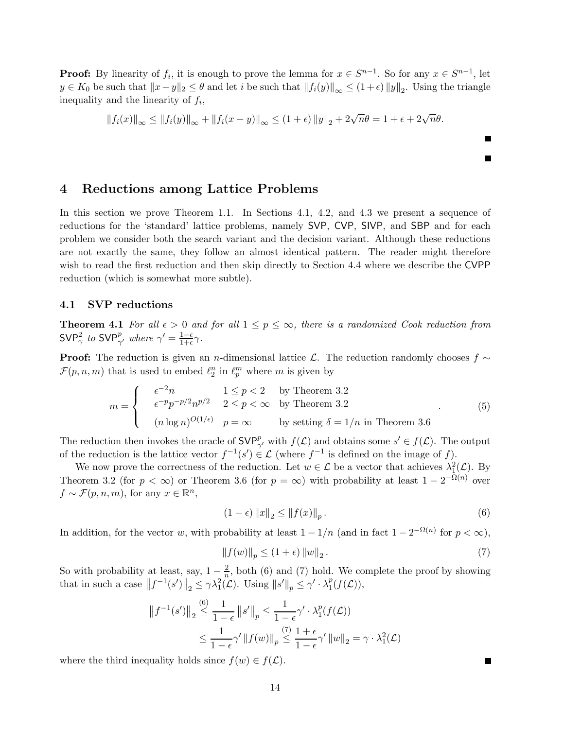**Proof:** By linearity of  $f_i$ , it is enough to prove the lemma for  $x \in S^{n-1}$ . So for any  $x \in S^{n-1}$ , let  $y \in K_0$  be such that  $||x-y||_2 \leq \theta$  and let i be such that  $||f_i(y)||_{\infty} \leq (1+\epsilon) ||y||_2$ . Using the triangle inequality and the linearity of  $f_i$ ,

$$
||f_i(x)||_{\infty} \le ||f_i(y)||_{\infty} + ||f_i(x - y)||_{\infty} \le (1 + \epsilon) ||y||_2 + 2\sqrt{n}\theta = 1 + \epsilon + 2\sqrt{n}\theta.
$$

## 4 Reductions among Lattice Problems

In this section we prove Theorem 1.1. In Sections 4.1, 4.2, and 4.3 we present a sequence of reductions for the 'standard' lattice problems, namely SVP, CVP, SIVP, and SBP and for each problem we consider both the search variant and the decision variant. Although these reductions are not exactly the same, they follow an almost identical pattern. The reader might therefore wish to read the first reduction and then skip directly to Section 4.4 where we describe the CVPP reduction (which is somewhat more subtle).

### 4.1 SVP reductions

**Theorem 4.1** For all  $\epsilon > 0$  and for all  $1 \leq p \leq \infty$ , there is a randomized Cook reduction from SVP<sup>2</sup><sub> $\gamma$ </sub> to SVP<sup>p</sup><sub> $\gamma'$ </sub> where  $\gamma' = \frac{1-\epsilon}{1+\epsilon} \gamma$ .

**Proof:** The reduction is given an n-dimensional lattice L. The reduction randomly chooses  $f \sim$  $\mathcal{F}(p,n,m)$  that is used to embed  $\ell_2^n$  in  $\ell_p^m$  where m is given by

$$
m = \begin{cases} & \epsilon^{-2}n & 1 \le p < 2 \text{ by Theorem 3.2} \\ & \epsilon^{-p}p^{-p/2}n^{p/2} & 2 \le p < \infty \text{ by Theorem 3.2} \\ & (n \log n)^{O(1/\epsilon)} & p = \infty \end{cases}
$$
 (5)  
by setting  $\delta = 1/n$  in Theorem 3.6

The reduction then invokes the oracle of  $SVP^p_{\gamma'}$  with  $f(\mathcal{L})$  and obtains some  $s' \in f(\mathcal{L})$ . The output of the reduction is the lattice vector  $f^{-1}(s') \in \mathcal{L}$  (where  $f^{-1}$  is defined on the image of f).

We now prove the correctness of the reduction. Let  $w \in \mathcal{L}$  be a vector that achieves  $\lambda^2_{\mathbf{L}}(\mathcal{L})$ . By Theorem 3.2 (for  $p < \infty$ ) or Theorem 3.6 (for  $p = \infty$ ) with probability at least  $1 - 2^{-\Omega(n)}$  over  $f \sim \mathcal{F}(p,n,m)$ , for any  $x \in \mathbb{R}^n$ ,

$$
(1 - \epsilon) \|x\|_2 \le \|f(x)\|_p.
$$
 (6)

In addition, for the vector w, with probability at least  $1 - 1/n$  (and in fact  $1 - 2^{-\Omega(n)}$  for  $p < \infty$ ),

$$
||f(w)||_p \le (1 + \epsilon) ||w||_2.
$$
 (7)

So with probability at least, say,  $1-\frac{2}{n}$  $\frac{2}{n}$ , both (6) and (7) hold. We complete the proof by showing that in such a case  $||f^{-1}(s')||_2 \leq \gamma \lambda_1^2(\mathcal{L})$ . Using  $||s'||_p \leq \gamma' \cdot \lambda_1^p$  $_1^p(f(\mathcal{L})),$ 

$$
||f^{-1}(s')||_2 \le \frac{1}{1-\epsilon} ||s'||_p \le \frac{1}{1-\epsilon} \gamma' \cdot \lambda_1^p(f(\mathcal{L}))
$$
  

$$
\le \frac{1}{1-\epsilon} \gamma' ||f(w)||_p \le \frac{1+\epsilon}{1-\epsilon} \gamma' ||w||_2 = \gamma \cdot \lambda_1^2(\mathcal{L})
$$

where the third inequality holds since  $f(w) \in f(\mathcal{L})$ .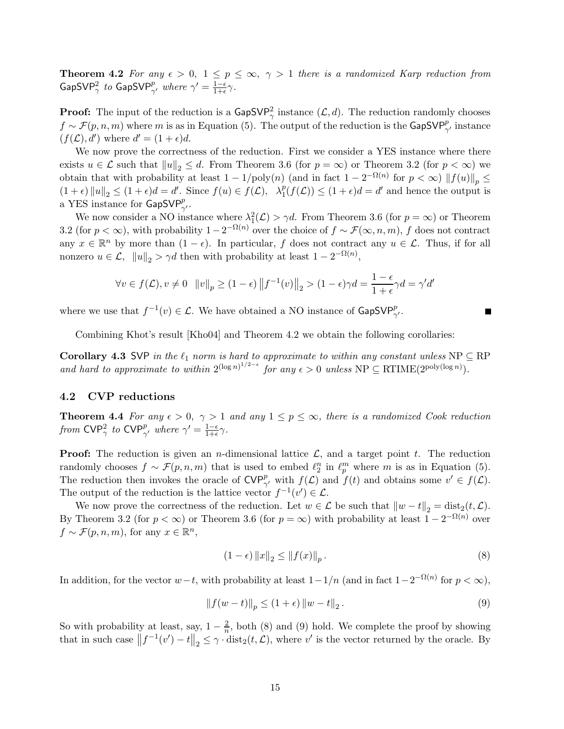**Theorem 4.2** For any  $\epsilon > 0$ ,  $1 \le p \le \infty$ ,  $\gamma > 1$  there is a randomized Karp reduction from  $\mathsf{GapSVP}^2_{\gamma}$  to  $\mathsf{GapSVP}^p_{\gamma'}$  where  $\gamma' = \frac{1-\epsilon}{1+\epsilon}\gamma$ .

**Proof:** The input of the reduction is a  $\mathsf{GapSVP}_{\gamma}^2$  instance  $(\mathcal{L}, d)$ . The reduction randomly chooses  $f \sim \mathcal{F}(p,n,m)$  where m is as in Equation (5). The output of the reduction is the GapSVP $_{\gamma'}^p$  instance  $(f(\mathcal{L}), d')$  where  $d' = (1 + \epsilon)d$ .

We now prove the correctness of the reduction. First we consider a YES instance where there exists  $u \in \mathcal{L}$  such that  $||u||_2 \leq d$ . From Theorem 3.6 (for  $p = \infty$ ) or Theorem 3.2 (for  $p < \infty$ ) we obtain that with probability at least  $1 - 1/\text{poly}(n)$  (and in fact  $1 - 2^{-\Omega(n)}$  for  $p < \infty$ )  $||f(u)||_p \le$  $(1+\epsilon) ||u||_2 \leq (1+\epsilon)d = d'$ . Since  $f(u) \in f(\mathcal{L}), \quad \lambda_1^p(f(\mathcal{L})) \leq (1+\epsilon)d = d'$  and hence the output is a YES instance for  $\mathsf{GapSVP}_{\gamma'}^p$ .

We now consider a NO instance where  $\lambda_1^2(\mathcal{L}) > \gamma d$ . From Theorem 3.6 (for  $p = \infty$ ) or Theorem 3.2 (for  $p < \infty$ ), with probability  $1 - 2^{-\Omega(n)}$  over the choice of  $f \sim \mathcal{F}(\infty, n, m)$ , f does not contract any  $x \in \mathbb{R}^n$  by more than  $(1 - \epsilon)$ . In particular, f does not contract any  $u \in \mathcal{L}$ . Thus, if for all nonzero  $u \in \mathcal{L}$ ,  $||u||_2 > \gamma d$  then with probability at least  $1 - 2^{-\Omega(n)}$ ,

$$
\forall v \in f(\mathcal{L}), v \neq 0 \quad ||v||_p \geq (1-\epsilon)\left\|f^{-1}(v)\right\|_2 > (1-\epsilon)\gamma d = \frac{1-\epsilon}{1+\epsilon}\gamma d = \gamma' d'
$$

where we use that  $f^{-1}(v) \in \mathcal{L}$ . We have obtained a NO instance of  $\mathsf{GapSVP}^p_{\gamma}$ .

Combining Khot's result [Kho04] and Theorem 4.2 we obtain the following corollaries:

**Corollary 4.3 SVP** in the  $\ell_1$  norm is hard to approximate to within any constant unless  $NP \subseteq RP$ and hard to approximate to within  $2^{(\log n)^{1/2-\epsilon}}$  for any  $\epsilon > 0$  unless  $NP \subseteq RTIME(2^{\text{poly}(\log n)})$ .

#### 4.2 CVP reductions

**Theorem 4.4** For any  $\epsilon > 0$ ,  $\gamma > 1$  and any  $1 \leq p \leq \infty$ , there is a randomized Cook reduction from  $\mathsf{CVP}^2_\gamma$  to  $\mathsf{CVP}^p_{\gamma'}$  where  $\gamma' = \frac{1-\epsilon}{1+\epsilon}\gamma$ .

**Proof:** The reduction is given an *n*-dimensional lattice  $\mathcal{L}$ , and a target point t. The reduction randomly chooses  $f \sim \mathcal{F}(p,n,m)$  that is used to embed  $\ell_2^n$  in  $\ell_p^m$  where m is as in Equation (5). The reduction then invokes the oracle of  $\text{CVP}^p_{\gamma'}$  with  $f(\mathcal{L})$  and  $f(t)$  and obtains some  $v' \in f(\mathcal{L})$ . The output of the reduction is the lattice vector  $f^{-1}(v') \in \mathcal{L}$ .

We now prove the correctness of the reduction. Let  $w \in \mathcal{L}$  be such that  $||w - t||_2 = \text{dist}_2(t, \mathcal{L})$ . By Theorem 3.2 (for  $p < \infty$ ) or Theorem 3.6 (for  $p = \infty$ ) with probability at least  $1 - 2^{-\Omega(n)}$  over  $f \sim \mathcal{F}(p,n,m)$ , for any  $x \in \mathbb{R}^n$ ,

$$
(1 - \epsilon) \|x\|_2 \le \|f(x)\|_p. \tag{8}
$$

In addition, for the vector  $w-t$ , with probability at least  $1-1/n$  (and in fact  $1-2^{-\Omega(n)}$  for  $p < \infty$ ),

$$
||f(w-t)||_{p} \le (1+\epsilon) ||w-t||_{2}.
$$
\n(9)

So with probability at least, say,  $1 - \frac{2}{n}$  $\frac{2}{n}$ , both (8) and (9) hold. We complete the proof by showing that in such case  $||f^{-1}(v') - t||_2 \leq \gamma \cdot dist_2(t, \mathcal{L}),$  where  $v'$  is the vector returned by the oracle. By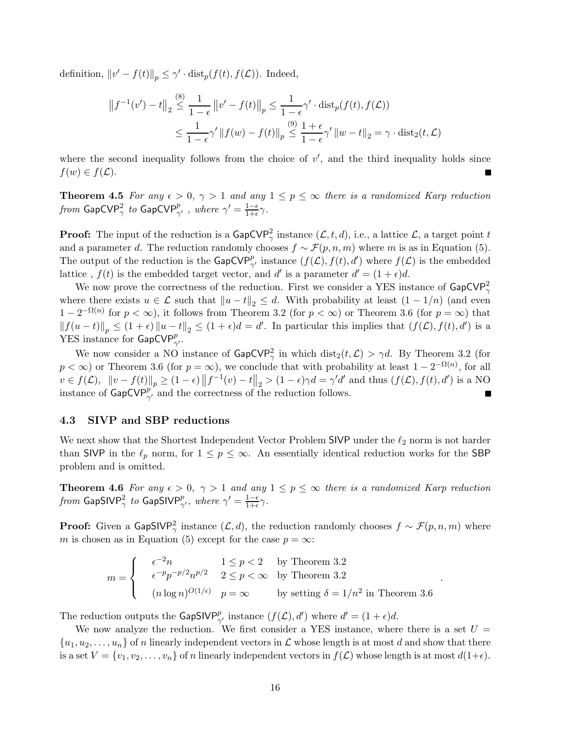definition,  $||v' - f(t)||_p \le \gamma' \cdot \text{dist}_p(f(t), f(\mathcal{L}))$ . Indeed,

$$
||f^{-1}(v') - t||_2 \le \frac{1}{1 - \epsilon} ||v' - f(t)||_p \le \frac{1}{1 - \epsilon} \gamma' \cdot \text{dist}_p(f(t), f(\mathcal{L}))
$$
  

$$
\le \frac{1}{1 - \epsilon} \gamma' ||f(w) - f(t)||_p \le \frac{1 + \epsilon}{1 - \epsilon} \gamma' ||w - t||_2 = \gamma \cdot \text{dist}_2(t, \mathcal{L})
$$

where the second inequality follows from the choice of  $v'$ , and the third inequality holds since  $f(w) \in f(\mathcal{L}).$ 

**Theorem 4.5** For any  $\epsilon > 0$ ,  $\gamma > 1$  and any  $1 \leq p \leq \infty$  there is a randomized Karp reduction from  $\mathsf{GapCVP}^2_\gamma$  to  $\mathsf{GapCVP}^p_{\gamma'}$  , where  $\gamma' = \frac{1-\epsilon}{1+\epsilon} \gamma$ .

**Proof:** The input of the reduction is a  $\textsf{GapCVP}^2_{\gamma}$  instance  $(\mathcal{L}, t, d)$ , i.e., a lattice  $\mathcal{L}$ , a target point t and a parameter d. The reduction randomly chooses  $f \sim \mathcal{F}(p, n, m)$  where m is as in Equation (5). The output of the reduction is the  $\textsf{GapCVP}^p_{\gamma'}$  instance  $(f(\mathcal{L}), f(t), d')$  where  $f(\mathcal{L})$  is the embedded lattice,  $f(t)$  is the embedded target vector, and d' is a parameter  $d' = (1 + \epsilon)d$ .

We now prove the correctness of the reduction. First we consider a YES instance of  $\mathsf{GapCVP}^2_{\gamma}$ where there exists  $u \in \mathcal{L}$  such that  $||u - t||_2 \leq d$ . With probability at least  $(1 - 1/n)$  (and even  $1-2^{-\Omega(n)}$  for  $p < \infty$ ), it follows from Theorem 3.2 (for  $p < \infty$ ) or Theorem 3.6 (for  $p = \infty$ ) that  $||f(u-t)||_p \leq (1+\epsilon) ||u-t||_2 \leq (1+\epsilon)d = d'$ . In particular this implies that  $(f(\mathcal{L}), f(t), d')$  is a YES instance for  $\mathsf{GapCVP}^p_{\gamma}$ .

We now consider a NO instance of  $\text{GapCVP}_{\gamma}^2$  in which  $\text{dist}_2(t, \mathcal{L}) > \gamma d$ . By Theorem 3.2 (for  $p < \infty$ ) or Theorem 3.6 (for  $p = \infty$ ), we conclude that with probability at least  $1 - 2^{-\Omega(n)}$ , for all  $v \in f(\mathcal{L}), \|v - f(t)\|_p \geq (1 - \epsilon) \|f^{-1}(v) - t\|_2 > (1 - \epsilon)\gamma d = \gamma' d'$  and thus  $(f(\mathcal{L}), f(t), d')$  is a NO instance of  $\text{GapCVP}_{\gamma'}^{p'}$  and the correctness of the reduction follows.

### 4.3 SIVP and SBP reductions

We next show that the Shortest Independent Vector Problem SIVP under the  $\ell_2$  norm is not harder than SIVP in the  $\ell_p$  norm, for  $1 \leq p \leq \infty$ . An essentially identical reduction works for the SBP problem and is omitted.

**Theorem 4.6** For any  $\epsilon > 0$ ,  $\gamma > 1$  and any  $1 \leq p \leq \infty$  there is a randomized Karp reduction from GapSIV $P^2_{\gamma}$  to GapSIV $P^p_{\gamma'}$ , where  $\gamma' = \frac{1-\epsilon}{1+\epsilon} \gamma$ .

**Proof:** Given a GapSIVP<sup>2</sup><sub>γ</sub> instance  $(L, d)$ , the reduction randomly chooses  $f \sim \mathcal{F}(p, n, m)$  where m is chosen as in Equation (5) except for the case  $p = \infty$ :

$$
m = \begin{cases} & \epsilon^{-2}n & 1 \le p < 2 \\ & \epsilon^{-p}p^{-p/2}n^{p/2} & 2 \le p < \infty \\ & (n \log n)^{O(1/\epsilon)} & p = \infty \end{cases}
$$
 by Theorem 3.2  
by setting  $\delta = 1/n^2$  in Theorem 3.6

.

The reduction outputs the GapSIVP<sup>p</sup><sub> $\gamma'$ </sub> instance  $(f(\mathcal{L}), d')$  where  $d' = (1 + \epsilon)d$ .

We now analyze the reduction. We first consider a YES instance, where there is a set  $U =$  $\{u_1, u_2, \ldots, u_n\}$  of n linearly independent vectors in  $\mathcal L$  whose length is at most d and show that there is a set  $V = \{v_1, v_2, \ldots, v_n\}$  of n linearly independent vectors in  $f(\mathcal{L})$  whose length is at most  $d(1+\epsilon)$ .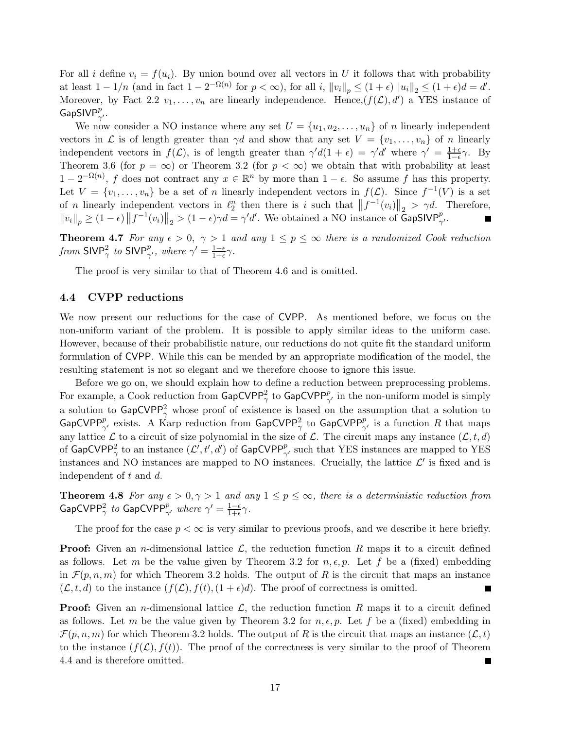For all i define  $v_i = f(u_i)$ . By union bound over all vectors in U it follows that with probability at least  $1 - 1/n$  (and in fact  $1 - 2^{-\Omega(n)}$  for  $p < \infty$ ), for all i,  $||v_i||_p \le (1 + \epsilon) ||u_i||_2 \le (1 + \epsilon) d = d'$ . Moreover, by Fact 2.2  $v_1, \ldots, v_n$  are linearly independence. Hence,  $(f(\mathcal{L}), d')$  a YES instance of GapSIV $P_{\gamma'}^p$ .

We now consider a NO instance where any set  $U = \{u_1, u_2, \ldots, u_n\}$  of n linearly independent vectors in  $\mathcal L$  is of length greater than  $\gamma d$  and show that any set  $V = \{v_1, \ldots, v_n\}$  of n linearly independent vectors in  $f(\mathcal{L})$ , is of length greater than  $\gamma' d(1 + \epsilon) = \gamma' d'$  where  $\gamma' = \frac{1+\epsilon}{1-\epsilon}$  $rac{1+\epsilon}{1-\epsilon}\gamma$ . By Theorem 3.6 (for  $p = \infty$ ) or Theorem 3.2 (for  $p < \infty$ ) we obtain that with probability at least  $1 - 2^{-\Omega(n)}$ , f does not contract any  $x \in \mathbb{R}^n$  by more than  $1 - \epsilon$ . So assume f has this property. Let  $V = \{v_1, \ldots, v_n\}$  be a set of n linearly independent vectors in  $f(\mathcal{L})$ . Since  $f^{-1}(V)$  is a set of n linearly independent vectors in  $\ell_2^n$  then there is i such that  $||f^{-1}(v_i)||_2 > \gamma d$ . Therefore,  $||v_i||_p \ge (1 - \epsilon) ||f^{-1}(v_i)||_2 > (1 - \epsilon) \gamma d = \gamma' d'$ . We obtained a NO instance of GapSIVP<sub> $\gamma'$ </sub>.

**Theorem 4.7** For any  $\epsilon > 0$ ,  $\gamma > 1$  and any  $1 \leq p \leq \infty$  there is a randomized Cook reduction from SIVP<sup>2</sup>, to SIVP<sup>p</sup><sub> $\gamma'$ </sub>, where  $\gamma' = \frac{1-\epsilon}{1+\epsilon} \gamma$ .

The proof is very similar to that of Theorem 4.6 and is omitted.

#### 4.4 CVPP reductions

We now present our reductions for the case of CVPP. As mentioned before, we focus on the non-uniform variant of the problem. It is possible to apply similar ideas to the uniform case. However, because of their probabilistic nature, our reductions do not quite fit the standard uniform formulation of CVPP. While this can be mended by an appropriate modification of the model, the resulting statement is not so elegant and we therefore choose to ignore this issue.

Before we go on, we should explain how to define a reduction between preprocessing problems. For example, a Cook reduction from  $\mathsf{GapCVPP}^2_\gamma$  to  $\mathsf{GapCVPP}^p_{\gamma'}$  in the non-uniform model is simply a solution to  $\textsf{GapCVPP}^2_{\gamma}$  whose proof of existence is based on the assumption that a solution to GapCVPP<sup>p</sup><sub> $\gamma'$ </sub> exists. A Karp reduction from GapCVPP<sub> $\gamma$ </sub> to GapCVPP<sub> $\gamma'$ </sub> is a function R that maps any lattice  $\mathcal L$  to a circuit of size polynomial in the size of  $\mathcal L$ . The circuit maps any instance  $(\mathcal L, t, d)$ of  $\mathsf{GapCVPP}^2_\gamma$  to an instance  $(\mathcal{L}', t', d')$  of  $\mathsf{GapCVPP}^p_{\gamma'}$  such that YES instances are mapped to YES instances and NO instances are mapped to NO instances. Crucially, the lattice  $\mathcal{L}'$  is fixed and is independent of t and d.

**Theorem 4.8** For any  $\epsilon > 0, \gamma > 1$  and any  $1 \leq p \leq \infty$ , there is a deterministic reduction from  $\mathsf{GapCVPP}^2_\gamma$  to  $\mathsf{GapCVPP}^p_{\gamma'}$  where  $\gamma' = \frac{1-\epsilon}{1+\epsilon}\gamma$ .

The proof for the case  $p < \infty$  is very similar to previous proofs, and we describe it here briefly.

**Proof:** Given an *n*-dimensional lattice  $\mathcal{L}$ , the reduction function R maps it to a circuit defined as follows. Let m be the value given by Theorem 3.2 for  $n, \epsilon, p$ . Let f be a (fixed) embedding in  $\mathcal{F}(p, n, m)$  for which Theorem 3.2 holds. The output of R is the circuit that maps an instance  $(\mathcal{L}, t, d)$  to the instance  $(f(\mathcal{L}), f(t), (1 + \epsilon)d)$ . The proof of correctness is omitted.

**Proof:** Given an *n*-dimensional lattice  $\mathcal{L}$ , the reduction function R maps it to a circuit defined as follows. Let m be the value given by Theorem 3.2 for  $n, \epsilon, p$ . Let f be a (fixed) embedding in  $\mathcal{F}(p,n,m)$  for which Theorem 3.2 holds. The output of R is the circuit that maps an instance  $(\mathcal{L}, t)$ to the instance  $(f(\mathcal{L}), f(t))$ . The proof of the correctness is very similar to the proof of Theorem 4.4 and is therefore omitted.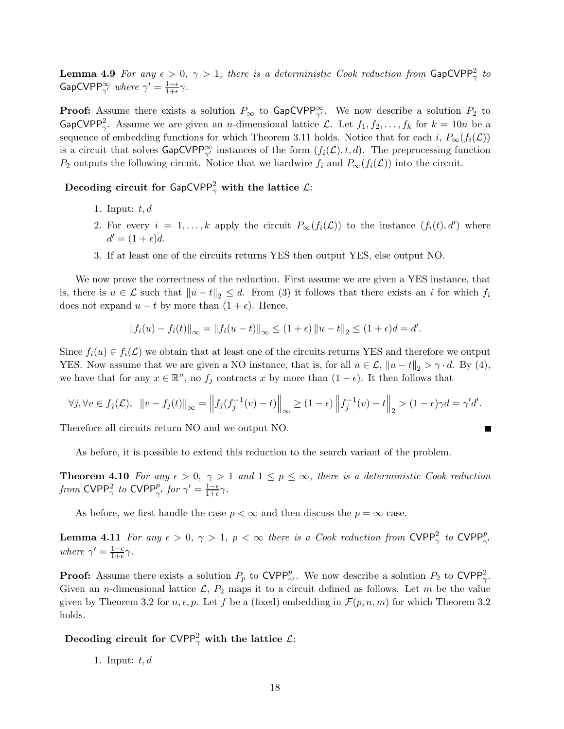**Lemma 4.9** For any  $\epsilon > 0$ ,  $\gamma > 1$ , there is a deterministic Cook reduction from  $\mathsf{GapCVPP}^2_\gamma$  to GapCVPP<sup> $\infty_{\gamma'}$ </sup> where  $\gamma' = \frac{1-\epsilon}{1+\epsilon} \gamma$ .

**Proof:** Assume there exists a solution  $P_{\infty}$  to  $\text{GapCVPP}_{\gamma'}^{\infty}$ . We now describe a solution  $P_2$  to GapCVPP<sup>2</sup>, Assume we are given an *n*-dimensional lattice L. Let  $f_1, f_2, \ldots, f_k$  for  $k = 10n$  be a sequence of embedding functions for which Theorem 3.11 holds. Notice that for each i,  $P_{\infty}(f_i(\mathcal{L}))$ is a circuit that solves  $\textsf{GapCVPP}^{\infty}_{\gamma'}$  instances of the form  $(f_i(\mathcal{L}), t, d)$ . The preprocessing function P<sub>2</sub> outputs the following circuit. Notice that we hardwire  $f_i$  and  $P_\infty(f_i(\mathcal{L}))$  into the circuit.

Decoding circuit for GapCVPP $^2_\gamma$  with the lattice  $\mathcal{L}$ :

- 1. Input:  $t, d$
- 2. For every  $i = 1, ..., k$  apply the circuit  $P_{\infty}(f_i(\mathcal{L}))$  to the instance  $(f_i(t), d')$  where  $d' = (1 + \epsilon)d$ .
- 3. If at least one of the circuits returns YES then output YES, else output NO.

We now prove the correctness of the reduction. First assume we are given a YES instance, that is, there is  $u \in \mathcal{L}$  such that  $||u - t||_2 \leq d$ . From (3) it follows that there exists an i for which  $f_i$ does not expand  $u - t$  by more than  $(1 + \epsilon)$ . Hence,

$$
||f_i(u) - f_i(t)||_{\infty} = ||f_i(u - t)||_{\infty} \le (1 + \epsilon) ||u - t||_2 \le (1 + \epsilon)d = d'.
$$

Since  $f_i(u) \in f_i(\mathcal{L})$  we obtain that at least one of the circuits returns YES and therefore we output YES. Now assume that we are given a NO instance, that is, for all  $u \in \mathcal{L}$ ,  $||u - t||_2 > \gamma \cdot d$ . By (4), we have that for any  $x \in \mathbb{R}^n$ , no  $f_j$  contracts x by more than  $(1 - \epsilon)$ . It then follows that

$$
\forall j, \forall v \in f_j(\mathcal{L}), \ \ \|v - f_j(t)\|_{\infty} = \left\|f_j(f_j^{-1}(v) - t)\right\|_{\infty} \geq (1 - \epsilon) \left\|f_j^{-1}(v) - t\right\|_2 > (1 - \epsilon)\gamma d = \gamma' d'.
$$

Therefore all circuits return NO and we output NO.

As before, it is possible to extend this reduction to the search variant of the problem.

**Theorem 4.10** For any  $\epsilon > 0$ ,  $\gamma > 1$  and  $1 \leq p \leq \infty$ , there is a deterministic Cook reduction from CVPP<sup>2</sup>, to CVPP<sup>p</sup><sub> $\gamma'$ </sub> for  $\gamma' = \frac{1-\epsilon}{1+\epsilon} \gamma$ .

As before, we first handle the case  $p < \infty$  and then discuss the  $p = \infty$  case.

**Lemma 4.11** For any  $\epsilon > 0$ ,  $\gamma > 1$ ,  $p < \infty$  there is a Cook reduction from CVPP $_{\gamma}^2$  to CVPP $_{\gamma'}^p$ where  $\gamma' = \frac{1-\epsilon}{1+\epsilon}\gamma$ .

**Proof:** Assume there exists a solution  $P_p$  to CVPP<sup>p</sup><sub> $\gamma$ </sub>. We now describe a solution  $P_2$  to CVPP<sub> $\gamma$ </sub>. Given an *n*-dimensional lattice  $\mathcal{L}, P_2$  maps it to a circuit defined as follows. Let m be the value given by Theorem 3.2 for  $n, \epsilon, p$ . Let f be a (fixed) embedding in  $\mathcal{F}(p, n, m)$  for which Theorem 3.2 holds.

Decoding circuit for CVPP $^2_\gamma$  with the lattice  $\mathcal{L}$ :

1. Input:  $t, d$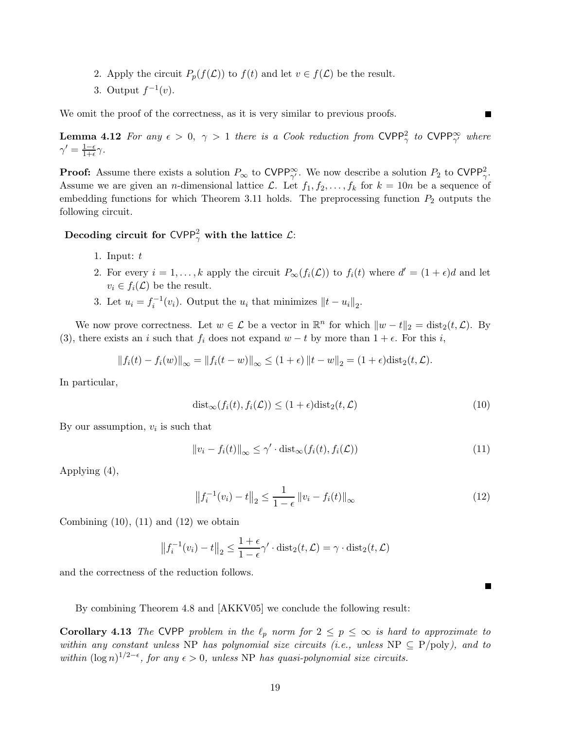- 2. Apply the circuit  $P_p(f(\mathcal{L}))$  to  $f(t)$  and let  $v \in f(\mathcal{L})$  be the result.
- 3. Output  $f^{-1}(v)$ .

We omit the proof of the correctness, as it is very similar to previous proofs.

**Lemma 4.12** For any  $\epsilon > 0$ ,  $\gamma > 1$  there is a Cook reduction from CVPP<sub> $_\gamma$ </sub> to CVPP<sub> $_{\gamma'}$ </sub> where  $\gamma' = \frac{1-\epsilon}{1+\epsilon}\gamma.$ 

**Proof:** Assume there exists a solution  $P_{\infty}$  to CVPP $_{\gamma'}^{\infty}$ . We now describe a solution  $P_2$  to CVPP $_{\gamma}^2$ . Assume we are given an *n*-dimensional lattice L. Let  $f_1, f_2, \ldots, f_k$  for  $k = 10n$  be a sequence of embedding functions for which Theorem 3.11 holds. The preprocessing function  $P_2$  outputs the following circuit.

Decoding circuit for CVPP $_\gamma^2$  with the lattice  $\mathcal{L}$ :

- 1. Input:  $t$
- 2. For every  $i = 1, ..., k$  apply the circuit  $P_{\infty}(f_i(\mathcal{L}))$  to  $f_i(t)$  where  $d' = (1 + \epsilon)d$  and let  $v_i \in f_i(\mathcal{L})$  be the result.
- 3. Let  $u_i = f_i^{-1}(v_i)$ . Output the  $u_i$  that minimizes  $||t u_i||_2$ .

We now prove correctness. Let  $w \in \mathcal{L}$  be a vector in  $\mathbb{R}^n$  for which  $||w - t||_2 = \text{dist}_2(t, \mathcal{L})$ . By (3), there exists an i such that  $f_i$  does not expand  $w - t$  by more than  $1 + \epsilon$ . For this i,

$$
||f_i(t) - f_i(w)||_{\infty} = ||f_i(t - w)||_{\infty} \le (1 + \epsilon) ||t - w||_2 = (1 + \epsilon) \text{dist}_2(t, \mathcal{L}).
$$

In particular,

$$
dist_{\infty}(f_i(t), f_i(\mathcal{L})) \le (1 + \epsilon)dist_2(t, \mathcal{L})
$$
\n(10)

By our assumption,  $v_i$  is such that

$$
||v_i - f_i(t)||_{\infty} \le \gamma' \cdot \text{dist}_{\infty}(f_i(t), f_i(\mathcal{L}))
$$
\n(11)

Applying (4),

$$
\left\|f_i^{-1}(v_i) - t\right\|_2 \le \frac{1}{1 - \epsilon} \left\|v_i - f_i(t)\right\|_{\infty} \tag{12}
$$

Combining  $(10)$ ,  $(11)$  and  $(12)$  we obtain

$$
\left\|f_i^{-1}(v_i) - t\right\|_2 \le \frac{1+\epsilon}{1-\epsilon} \gamma' \cdot \text{dist}_2(t, \mathcal{L}) = \gamma \cdot \text{dist}_2(t, \mathcal{L})
$$

and the correctness of the reduction follows.

By combining Theorem 4.8 and [AKKV05] we conclude the following result:

**Corollary 4.13** The CVPP problem in the  $\ell_p$  norm for  $2 \le p \le \infty$  is hard to approximate to within any constant unless NP has polynomial size circuits (i.e., unless NP  $\subseteq$  P/poly), and to within  $(\log n)^{1/2-\epsilon}$ , for any  $\epsilon > 0$ , unless NP has quasi-polynomial size circuits.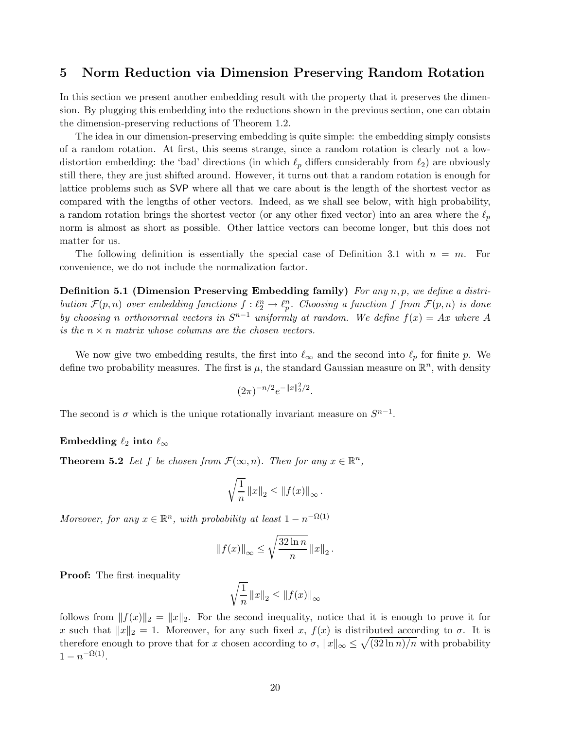## 5 Norm Reduction via Dimension Preserving Random Rotation

In this section we present another embedding result with the property that it preserves the dimension. By plugging this embedding into the reductions shown in the previous section, one can obtain the dimension-preserving reductions of Theorem 1.2.

The idea in our dimension-preserving embedding is quite simple: the embedding simply consists of a random rotation. At first, this seems strange, since a random rotation is clearly not a lowdistortion embedding: the 'bad' directions (in which  $\ell_p$  differs considerably from  $\ell_2$ ) are obviously still there, they are just shifted around. However, it turns out that a random rotation is enough for lattice problems such as SVP where all that we care about is the length of the shortest vector as compared with the lengths of other vectors. Indeed, as we shall see below, with high probability, a random rotation brings the shortest vector (or any other fixed vector) into an area where the  $\ell_p$ norm is almost as short as possible. Other lattice vectors can become longer, but this does not matter for us.

The following definition is essentially the special case of Definition 3.1 with  $n = m$ . For convenience, we do not include the normalization factor.

**Definition 5.1 (Dimension Preserving Embedding family)** For any  $n, p$ , we define a distribution  $\mathcal{F}(p,n)$  over embedding functions  $f: \ell_2^n \to \ell_p^n$ . Choosing a function f from  $\mathcal{F}(p,n)$  is done by choosing n orthonormal vectors in  $S^{n-1}$  uniformly at random. We define  $f(x) = Ax$  where A is the  $n \times n$  matrix whose columns are the chosen vectors.

We now give two embedding results, the first into  $\ell_{\infty}$  and the second into  $\ell_p$  for finite p. We define two probability measures. The first is  $\mu$ , the standard Gaussian measure on  $\mathbb{R}^n$ , with density

$$
(2\pi)^{-n/2}e^{-\|x\|_2^2/2}.
$$

The second is  $\sigma$  which is the unique rotationally invariant measure on  $S^{n-1}$ .

#### Embedding  $\ell_2$  into  $\ell_{\infty}$

**Theorem 5.2** Let f be chosen from  $\mathcal{F}(\infty, n)$ . Then for any  $x \in \mathbb{R}^n$ ,

$$
\sqrt{\frac{1}{n}} \|x\|_2 \le \|f(x)\|_{\infty}.
$$

Moreover, for any  $x \in \mathbb{R}^n$ , with probability at least  $1 - n^{-\Omega(1)}$ 

$$
||f(x)||_{\infty} \le \sqrt{\frac{32 \ln n}{n}} ||x||_2.
$$

**Proof:** The first inequality

$$
\sqrt{\frac{1}{n}}\left\|x\right\|_2 \leq \left\|f(x)\right\|_{\infty}
$$

follows from  $|| f(x)||_2 = ||x||_2$ . For the second inequality, notice that it is enough to prove it for x such that  $||x||_2 = 1$ . Moreover, for any such fixed x,  $f(x)$  is distributed according to  $\sigma$ . It is therefore enough to prove that for x chosen according to  $\sigma$ ,  $||x||_{\infty} \leq \sqrt{(32 \ln n)/n}$  with probability  $1 - n^{-\Omega(1)}$ .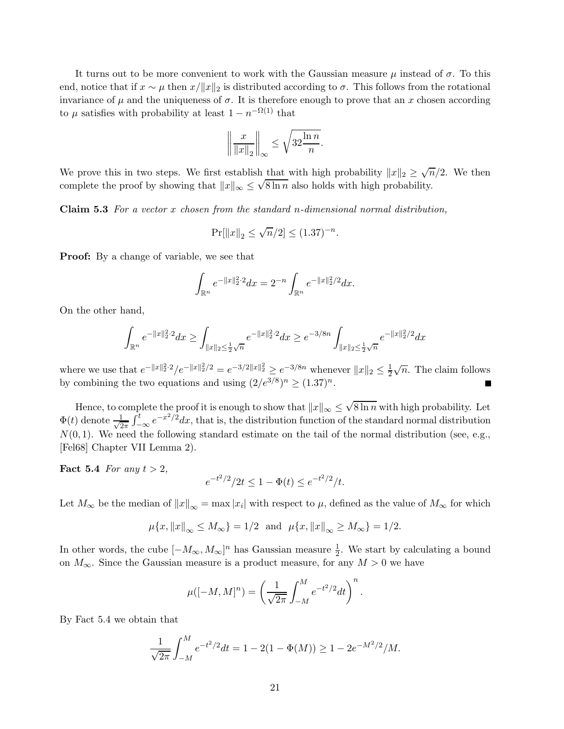It turns out to be more convenient to work with the Gaussian measure  $\mu$  instead of  $\sigma$ . To this end, notice that if  $x \sim \mu$  then  $x/||x||_2$  is distributed according to  $\sigma$ . This follows from the rotational invariance of  $\mu$  and the uniqueness of  $\sigma$ . It is therefore enough to prove that an x chosen according to  $\mu$  satisfies with probability at least  $1 - n^{-\Omega(1)}$  that

$$
\left\| \frac{x}{\|x\|_2} \right\|_{\infty} \le \sqrt{32 \frac{\ln n}{n}}.
$$

We prove this in two steps. We first establish that with high probability  $||x||_2 \ge \sqrt{n}/2$ . We then complete the proof by showing that  $||x||_{\infty} \leq \sqrt{8 \ln n}$  also holds with high probability.

**Claim 5.3** For a vector x chosen from the standard n-dimensional normal distribution,

$$
\Pr[||x||_2 \le \sqrt{n}/2] \le (1.37)^{-n}.
$$

**Proof:** By a change of variable, we see that

$$
\int_{\mathbb{R}^n} e^{-\|x\|_2^2 \cdot 2} dx = 2^{-n} \int_{\mathbb{R}^n} e^{-\|x\|_2^2 / 2} dx.
$$

On the other hand,

$$
\int_{\mathbb{R}^n} e^{-\|x\|_2^2 \cdot 2} dx \ge \int_{\|x\|_2 \le \frac{1}{2}\sqrt{n}} e^{-\|x\|_2^2 \cdot 2} dx \ge e^{-3/8n} \int_{\|x\|_2 \le \frac{1}{2}\sqrt{n}} e^{-\|x\|_2^2/2} dx
$$

where we use that  $e^{-\|x\|_2^2/2}e^{-\|x\|_2^2/2} = e^{-3/2\|x\|_2^2} \geq e^{-3/8n}$  whenever  $\|x\|_2 \leq \frac{1}{2}\sqrt{n}$ . The claim follows by combining the two equations and using  $(2/e^{3/8})^n \ge (1.37)^n$ .

Hence, to complete the proof it is enough to show that  $||x||_{\infty} \leq \sqrt{8 \ln n}$  with high probability. Let  $\Phi(t)$  denote  $\frac{1}{\sqrt{2}}$  $\frac{1}{2\pi} \int_{-\infty}^{t} e^{-x^2/2} dx$ , that is, the distribution function of the standard normal distribution  $N(0, 1)$ . We need the following standard estimate on the tail of the normal distribution (see, e.g., [Fel68] Chapter VII Lemma 2).

Fact 5.4 For any  $t > 2$ ,

$$
e^{-t^2/2}/2t \le 1 - \Phi(t) \le e^{-t^2/2}/t.
$$

Let  $M_{\infty}$  be the median of  $||x||_{\infty} = \max |x_i|$  with respect to  $\mu$ , defined as the value of  $M_{\infty}$  for which

$$
\mu\{x, ||x||_{\infty} \le M_{\infty}\} = 1/2
$$
 and  $\mu\{x, ||x||_{\infty} \ge M_{\infty}\} = 1/2$ .

In other words, the cube  $[-M_{\infty}, M_{\infty}]^n$  has Gaussian measure  $\frac{1}{2}$ . We start by calculating a bound on  $M_{\infty}$ . Since the Gaussian measure is a product measure, for any  $M > 0$  we have

$$
\mu([-M, M]^n) = \left(\frac{1}{\sqrt{2\pi}} \int_{-M}^{M} e^{-t^2/2} dt\right)^n.
$$

By Fact 5.4 we obtain that

$$
\frac{1}{\sqrt{2\pi}} \int_{-M}^{M} e^{-t^2/2} dt = 1 - 2(1 - \Phi(M)) \ge 1 - 2e^{-M^2/2}/M.
$$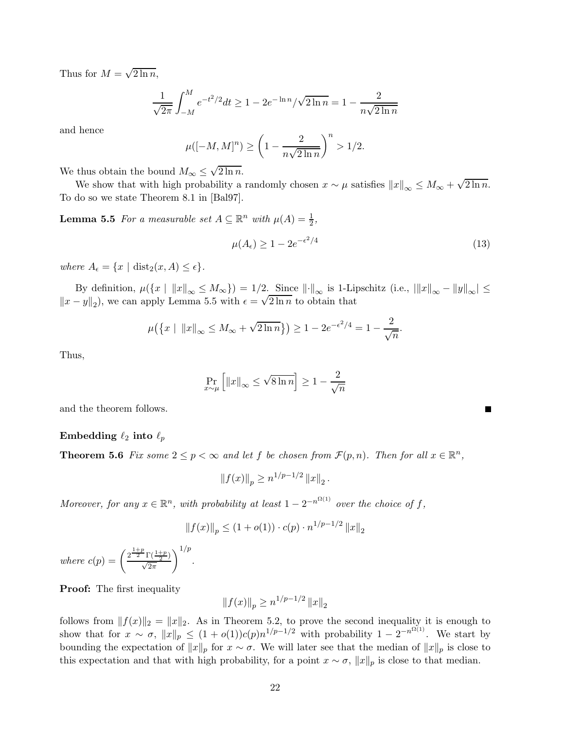Thus for  $M = \sqrt{2 \ln n}$ ,

$$
\frac{1}{\sqrt{2\pi}} \int_{-M}^{M} e^{-t^2/2} dt \ge 1 - 2e^{-\ln n} / \sqrt{2\ln n} = 1 - \frac{2}{n\sqrt{2\ln n}}
$$

and hence

$$
\mu([-M, M]^n) \ge \left(1 - \frac{2}{n\sqrt{2\ln n}}\right)^n > 1/2.
$$

We thus obtain the bound  $M_{\infty} \leq \sqrt{2 \ln n}$ .

We show that with high probability a randomly chosen  $x \sim \mu$  satisfies  $||x||_{\infty} \le M_{\infty} + \sqrt{2 \ln n}$ . To do so we state Theorem 8.1 in [Bal97].

**Lemma 5.5** For a measurable set  $A \subseteq \mathbb{R}^n$  with  $\mu(A) = \frac{1}{2}$ ,

$$
\mu(A_{\epsilon}) \ge 1 - 2e^{-\epsilon^2/4} \tag{13}
$$

Г

where  $A_{\epsilon} = \{x \mid \text{dist}_2(x, A) \leq \epsilon\}.$ 

By definition,  $\mu({x \mid \|x\|_{\infty} \le M_{\infty}}) = 1/2$ . Since  $\|\cdot\|_{\infty}$  is 1-Lipschitz (i.e.,  $\|x\|_{\infty} - \|y\|_{\infty} \le \infty$  $||x - y||_2$ , we can apply Lemma 5.5 with  $\epsilon = \sqrt{2 \ln n}$  to obtain that

$$
\mu(\{x \mid ||x||_{\infty} \le M_{\infty} + \sqrt{2 \ln n}\}) \ge 1 - 2e^{-\epsilon^2/4} = 1 - \frac{2}{\sqrt{n}}.
$$

Thus,

$$
\Pr_{x \sim \mu} \left[ \|x\|_{\infty} \le \sqrt{8 \ln n} \right] \ge 1 - \frac{2}{\sqrt{n}}
$$

and the theorem follows.

#### Embedding  $\ell_2$  into  $\ell_p$

**Theorem 5.6** Fix some  $2 \le p < \infty$  and let f be chosen from  $\mathcal{F}(p,n)$ . Then for all  $x \in \mathbb{R}^n$ ,

 $||f(x)||_p \geq n^{1/p-1/2} ||x||_2.$ 

Moreover, for any  $x \in \mathbb{R}^n$ , with probability at least  $1 - 2^{-n^{\Omega(1)}}$  over the choice of f,

$$
||f(x)||_p \le (1 + o(1)) \cdot c(p) \cdot n^{1/p - 1/2} ||x||_2
$$

where  $c(p) = \left(\frac{2^{\frac{1+p}{2}}\Gamma(\frac{1+p}{2})}{\sqrt{2\pi}}\right)$  $\bigg)^{1/p}$ .

**Proof:** The first inequality

 $||f(x)||_p \geq n^{1/p-1/2} ||x||_2$ 

follows from  $||f(x)||_2 = ||x||_2$ . As in Theorem 5.2, to prove the second inequality it is enough to show that for  $x \sim \sigma$ ,  $||x||_p \le (1 + o(1))c(p)n^{1/p-1/2}$  with probability  $1 - 2^{-n^{\Omega(1)}}$ . We start by bounding the expectation of  $||x||_p$  for  $x \sim \sigma$ . We will later see that the median of  $||x||_p$  is close to this expectation and that with high probability, for a point  $x \sim \sigma$ ,  $||x||_p$  is close to that median.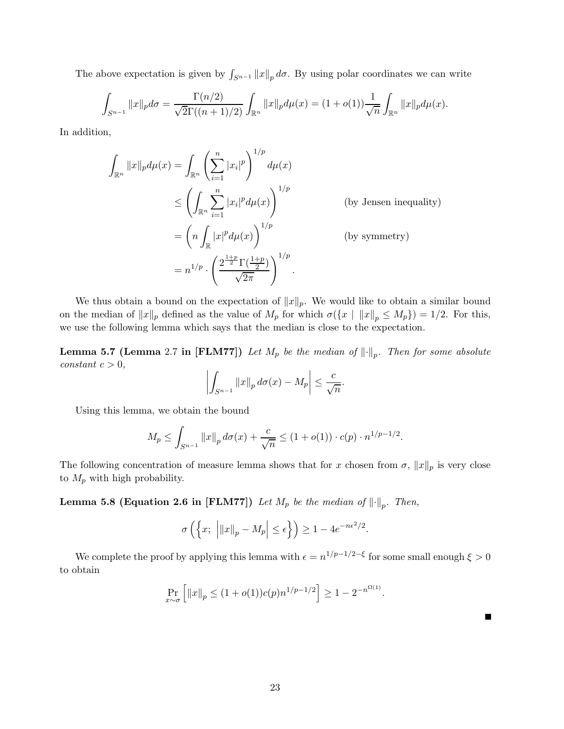The above expectation is given by  $\int_{S^{n-1}} ||x||_p d\sigma$ . By using polar coordinates we can write

$$
\int_{S^{n-1}} \|x\|_p d\sigma = \frac{\Gamma(n/2)}{\sqrt{2}\Gamma((n+1)/2)} \int_{\mathbb{R}^n} \|x\|_p d\mu(x) = (1+o(1)) \frac{1}{\sqrt{n}} \int_{\mathbb{R}^n} \|x\|_p d\mu(x).
$$

In addition,

$$
\int_{\mathbb{R}^n} ||x||_p d\mu(x) = \int_{\mathbb{R}^n} \left( \sum_{i=1}^n |x_i|^p \right)^{1/p} d\mu(x)
$$
\n
$$
\leq \left( \int_{\mathbb{R}^n} \sum_{i=1}^n |x_i|^p d\mu(x) \right)^{1/p} \qquad \text{(by Jensen inequality)}
$$
\n
$$
= \left( n \int_{\mathbb{R}} |x|^p d\mu(x) \right)^{1/p} \qquad \text{(by symmetry)}
$$
\n
$$
= n^{1/p} \cdot \left( \frac{2^{\frac{1+p}{2}} \Gamma(\frac{1+p}{2})}{\sqrt{2\pi}} \right)^{1/p}.
$$

We thus obtain a bound on the expectation of  $||x||_p$ . We would like to obtain a similar bound on the median of  $||x||_p$  defined as the value of  $M_p$  for which  $\sigma({x | ||x||_p \le M_p}) = 1/2$ . For this, we use the following lemma which says that the median is close to the expectation.

**Lemma 5.7 (Lemma** 2.7 in [FLM77]) Let  $M_p$  be the median of  $\|\cdot\|_p$ . Then for some absolute  $constant \ c > 0,$ 

$$
\left| \int_{S^{n-1}} \|x\|_p \, d\sigma(x) - M_p \right| \leq \frac{c}{\sqrt{n}}.
$$

Using this lemma, we obtain the bound

$$
M_p \le \int_{S^{n-1}} ||x||_p \, d\sigma(x) + \frac{c}{\sqrt{n}} \le (1 + o(1)) \cdot c(p) \cdot n^{1/p - 1/2}.
$$

The following concentration of measure lemma shows that for x chosen from  $\sigma$ ,  $||x||_p$  is very close to  $M_p$  with high probability.

**Lemma 5.8 (Equation 2.6 in [FLM77])** Let  $M_p$  be the median of  $\left\| \cdot \right\|_p$ . Then,

$$
\sigma\left(\left\{x; \ \left|\|x\|_p - M_p\right| \le \epsilon\right\}\right) \ge 1 - 4e^{-n\epsilon^2/2}.
$$

We complete the proof by applying this lemma with  $\epsilon = n^{1/p-1/2-\xi}$  for some small enough  $\xi > 0$ to obtain

$$
\Pr_{x \sim \sigma} \left[ \|x\|_p \le (1 + o(1))c(p)n^{1/p - 1/2} \right] \ge 1 - 2^{-n^{\Omega(1)}}.
$$

 $\blacksquare$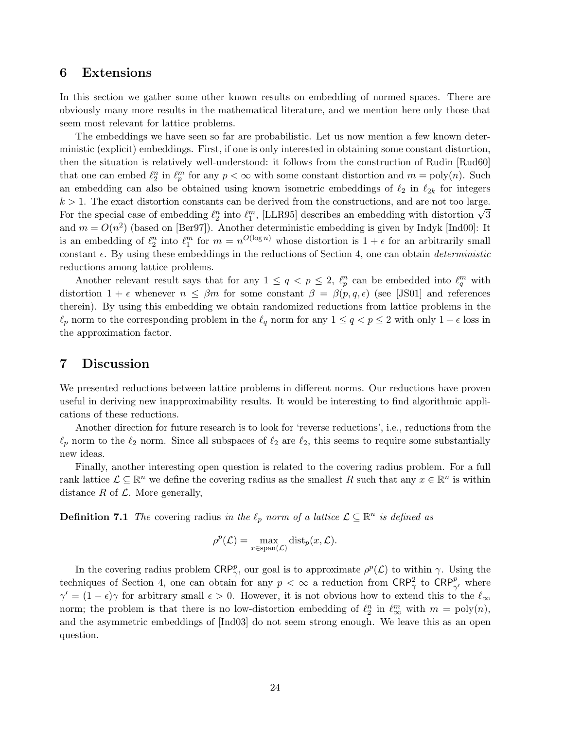## 6 Extensions

In this section we gather some other known results on embedding of normed spaces. There are obviously many more results in the mathematical literature, and we mention here only those that seem most relevant for lattice problems.

The embeddings we have seen so far are probabilistic. Let us now mention a few known deterministic (explicit) embeddings. First, if one is only interested in obtaining some constant distortion, then the situation is relatively well-understood: it follows from the construction of Rudin [Rud60] that one can embed  $\ell_2^n$  in  $\ell_p^m$  for any  $p < \infty$  with some constant distortion and  $m = \text{poly}(n)$ . Such an embedding can also be obtained using known isometric embeddings of  $\ell_2$  in  $\ell_{2k}$  for integers  $k > 1$ . The exact distortion constants can be derived from the constructions, and are not too large. For the special case of embedding  $\ell_2^n$  into  $\ell_1^m$ , [LLR95] describes an embedding with distortion  $\sqrt{3}$ and  $m = O(n^2)$  (based on [Ber97]). Another deterministic embedding is given by Indyk [Ind00]: It is an embedding of  $\ell_2^n$  into  $\ell_1^m$  for  $m = n^{O(\log n)}$  whose distortion is  $1 + \epsilon$  for an arbitrarily small constant  $\epsilon$ . By using these embeddings in the reductions of Section 4, one can obtain *deterministic* reductions among lattice problems.

Another relevant result says that for any  $1 \le q < p \le 2$ ,  $\ell_p^n$  can be embedded into  $\ell_q^m$  with distortion  $1 + \epsilon$  whenever  $n \leq \beta m$  for some constant  $\beta = \beta(p, q, \epsilon)$  (see [JS01] and references therein). By using this embedding we obtain randomized reductions from lattice problems in the  $\ell_p$  norm to the corresponding problem in the  $\ell_q$  norm for any  $1 \le q < p \le 2$  with only  $1 + \epsilon$  loss in the approximation factor.

# 7 Discussion

We presented reductions between lattice problems in different norms. Our reductions have proven useful in deriving new inapproximability results. It would be interesting to find algorithmic applications of these reductions.

Another direction for future research is to look for 'reverse reductions', i.e., reductions from the  $\ell_p$  norm to the  $\ell_2$  norm. Since all subspaces of  $\ell_2$  are  $\ell_2$ , this seems to require some substantially new ideas.

Finally, another interesting open question is related to the covering radius problem. For a full rank lattice  $\mathcal{L} \subseteq \mathbb{R}^n$  we define the covering radius as the smallest R such that any  $x \in \mathbb{R}^n$  is within distance  $R$  of  $\mathcal{L}$ . More generally,

**Definition 7.1** The covering radius in the  $\ell_p$  norm of a lattice  $\mathcal{L} \subseteq \mathbb{R}^n$  is defined as

$$
\rho^p(\mathcal{L}) = \max_{x \in \text{span}(\mathcal{L})} \text{dist}_p(x, \mathcal{L}).
$$

In the covering radius problem  $\mathsf{CRP}^p_\gamma$ , our goal is to approximate  $\rho^p(\mathcal{L})$  to within  $\gamma$ . Using the techniques of Section 4, one can obtain for any  $p < \infty$  a reduction from  $\text{CRP}^2_{\gamma}$  to  $\text{CRP}^p_{\gamma'}$  where  $\gamma' = (1 - \epsilon)\gamma$  for arbitrary small  $\epsilon > 0$ . However, it is not obvious how to extend this to the  $\ell_{\infty}$ norm; the problem is that there is no low-distortion embedding of  $\ell_2^n$  in  $\ell_\infty^m$  with  $m = \text{poly}(n)$ , and the asymmetric embeddings of [Ind03] do not seem strong enough. We leave this as an open question.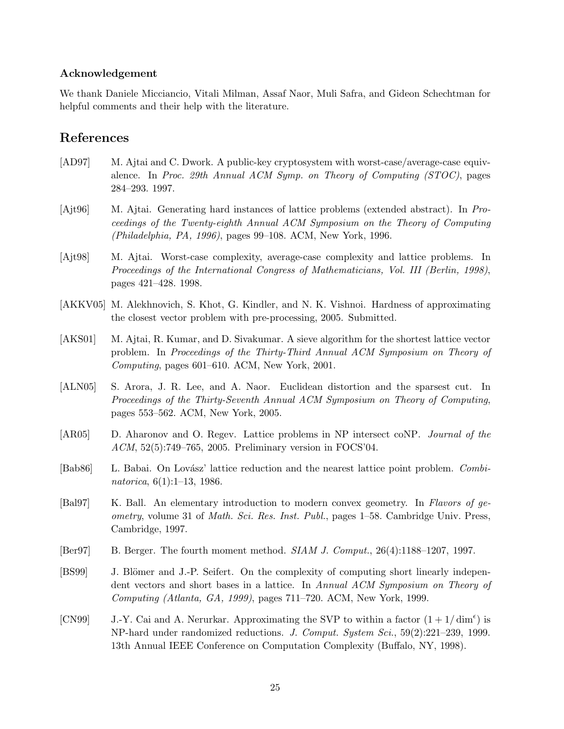### Acknowledgement

We thank Daniele Micciancio, Vitali Milman, Assaf Naor, Muli Safra, and Gideon Schechtman for helpful comments and their help with the literature.

# References

- [AD97] M. Ajtai and C. Dwork. A public-key cryptosystem with worst-case/average-case equivalence. In Proc. 29th Annual ACM Symp. on Theory of Computing (STOC), pages 284–293. 1997.
- [Ajt96] M. Ajtai. Generating hard instances of lattice problems (extended abstract). In Proceedings of the Twenty-eighth Annual ACM Symposium on the Theory of Computing (Philadelphia, PA, 1996), pages 99–108. ACM, New York, 1996.
- [Ajt98] M. Ajtai. Worst-case complexity, average-case complexity and lattice problems. In Proceedings of the International Congress of Mathematicians, Vol. III (Berlin, 1998), pages 421–428. 1998.
- [AKKV05] M. Alekhnovich, S. Khot, G. Kindler, and N. K. Vishnoi. Hardness of approximating the closest vector problem with pre-processing, 2005. Submitted.
- [AKS01] M. Ajtai, R. Kumar, and D. Sivakumar. A sieve algorithm for the shortest lattice vector problem. In Proceedings of the Thirty-Third Annual ACM Symposium on Theory of Computing, pages 601–610. ACM, New York, 2001.
- [ALN05] S. Arora, J. R. Lee, and A. Naor. Euclidean distortion and the sparsest cut. In Proceedings of the Thirty-Seventh Annual ACM Symposium on Theory of Computing, pages 553–562. ACM, New York, 2005.
- [AR05] D. Aharonov and O. Regev. Lattice problems in NP intersect coNP. Journal of the ACM, 52(5):749–765, 2005. Preliminary version in FOCS'04.
- [Bab86] L. Babai. On Lovász' lattice reduction and the nearest lattice point problem. Combinatorica, 6(1):1–13, 1986.
- [Bal97] K. Ball. An elementary introduction to modern convex geometry. In Flavors of geometry, volume 31 of Math. Sci. Res. Inst. Publ., pages 1–58. Cambridge Univ. Press, Cambridge, 1997.
- [Ber97] B. Berger. The fourth moment method.  $SIAM J. Comput.$ ,  $26(4):1188-1207, 1997.$
- [BS99] J. Blömer and J.-P. Seifert. On the complexity of computing short linearly independent vectors and short bases in a lattice. In Annual ACM Symposium on Theory of Computing (Atlanta, GA, 1999), pages 711–720. ACM, New York, 1999.
- [CN99] J.-Y. Cai and A. Nerurkar. Approximating the SVP to within a factor  $(1 + 1/\dim^{\epsilon})$  is NP-hard under randomized reductions. J. Comput. System Sci., 59(2):221–239, 1999. 13th Annual IEEE Conference on Computation Complexity (Buffalo, NY, 1998).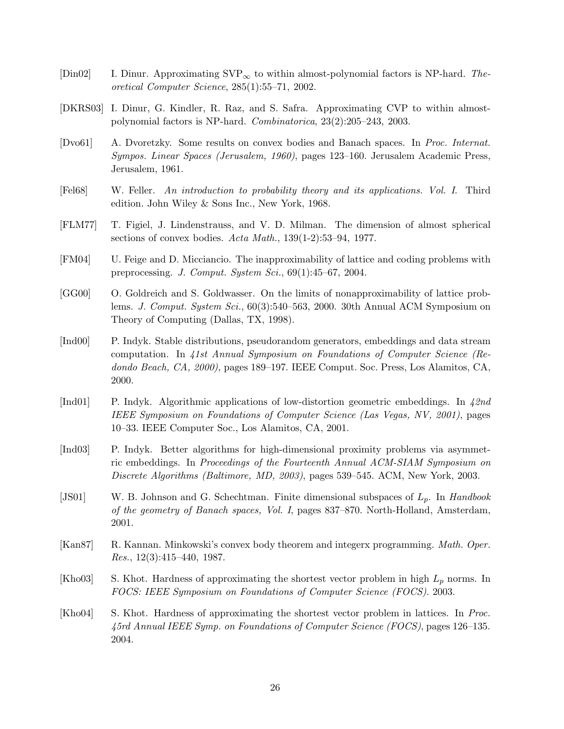- [Din02] I. Dinur. Approximating  $SVP_{\infty}$  to within almost-polynomial factors is NP-hard. Theoretical Computer Science, 285(1):55–71, 2002.
- [DKRS03] I. Dinur, G. Kindler, R. Raz, and S. Safra. Approximating CVP to within almostpolynomial factors is NP-hard. Combinatorica, 23(2):205–243, 2003.
- [Dvo61] A. Dvoretzky. Some results on convex bodies and Banach spaces. In Proc. Internat. Sympos. Linear Spaces (Jerusalem, 1960), pages 123–160. Jerusalem Academic Press, Jerusalem, 1961.
- [Fel68] W. Feller. An introduction to probability theory and its applications. Vol. I. Third edition. John Wiley & Sons Inc., New York, 1968.
- [FLM77] T. Figiel, J. Lindenstrauss, and V. D. Milman. The dimension of almost spherical sections of convex bodies. Acta Math., 139(1-2):53–94, 1977.
- [FM04] U. Feige and D. Micciancio. The inapproximability of lattice and coding problems with preprocessing. J. Comput. System Sci., 69(1):45–67, 2004.
- [GG00] O. Goldreich and S. Goldwasser. On the limits of nonapproximability of lattice problems. J. Comput. System Sci., 60(3):540–563, 2000. 30th Annual ACM Symposium on Theory of Computing (Dallas, TX, 1998).
- [Ind00] P. Indyk. Stable distributions, pseudorandom generators, embeddings and data stream computation. In 41st Annual Symposium on Foundations of Computer Science (Redondo Beach, CA, 2000), pages 189–197. IEEE Comput. Soc. Press, Los Alamitos, CA, 2000.
- [Ind01] P. Indyk. Algorithmic applications of low-distortion geometric embeddings. In 42nd IEEE Symposium on Foundations of Computer Science (Las Vegas, NV, 2001), pages 10–33. IEEE Computer Soc., Los Alamitos, CA, 2001.
- [Ind03] P. Indyk. Better algorithms for high-dimensional proximity problems via asymmetric embeddings. In Proceedings of the Fourteenth Annual ACM-SIAM Symposium on Discrete Algorithms (Baltimore, MD, 2003), pages 539–545. ACM, New York, 2003.
- [JS01] W. B. Johnson and G. Schechtman. Finite dimensional subspaces of  $L_p$ . In Handbook of the geometry of Banach spaces, Vol. I, pages 837–870. North-Holland, Amsterdam, 2001.
- [Kan87] R. Kannan. Minkowski's convex body theorem and integerx programming. Math. Oper. Res., 12(3):415–440, 1987.
- [Kho03] S. Khot. Hardness of approximating the shortest vector problem in high  $L_p$  norms. In FOCS: IEEE Symposium on Foundations of Computer Science (FOCS). 2003.
- [Kho04] S. Khot. Hardness of approximating the shortest vector problem in lattices. In Proc. 45rd Annual IEEE Symp. on Foundations of Computer Science (FOCS), pages 126–135. 2004.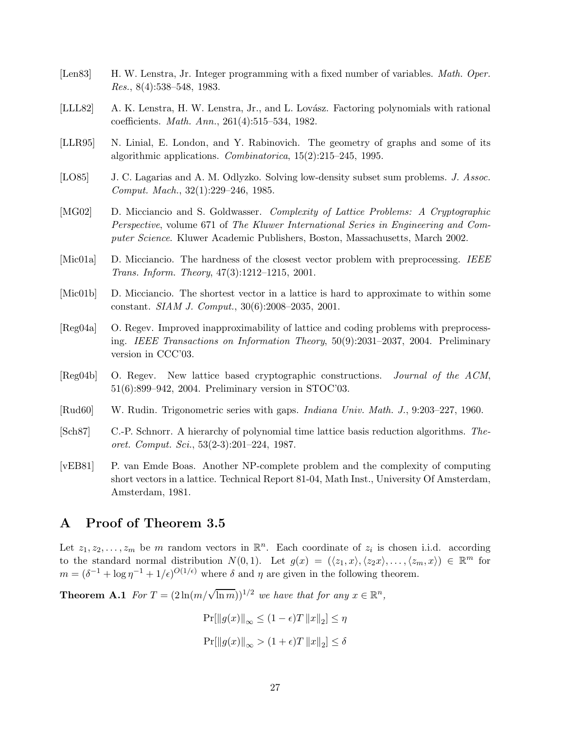- [Len83] H. W. Lenstra, Jr. Integer programming with a fixed number of variables. *Math. Oper. Res.*,  $8(4):538-548$ , 1983.
- [LLL82] A. K. Lenstra, H. W. Lenstra, Jr., and L. Lovász. Factoring polynomials with rational coefficients. Math. Ann., 261(4):515–534, 1982.
- [LLR95] N. Linial, E. London, and Y. Rabinovich. The geometry of graphs and some of its algorithmic applications. Combinatorica, 15(2):215–245, 1995.
- [LO85] J. C. Lagarias and A. M. Odlyzko. Solving low-density subset sum problems. J. Assoc. Comput. Mach., 32(1):229–246, 1985.
- [MG02] D. Micciancio and S. Goldwasser. *Complexity of Lattice Problems: A Cryptographic* Perspective, volume 671 of The Kluwer International Series in Engineering and Computer Science. Kluwer Academic Publishers, Boston, Massachusetts, March 2002.
- [Mic01a] D. Micciancio. The hardness of the closest vector problem with preprocessing. IEEE Trans. Inform. Theory, 47(3):1212–1215, 2001.
- [Mic01b] D. Micciancio. The shortest vector in a lattice is hard to approximate to within some constant. SIAM J. Comput., 30(6):2008–2035, 2001.
- [Reg04a] O. Regev. Improved inapproximability of lattice and coding problems with preprocessing. IEEE Transactions on Information Theory, 50(9):2031–2037, 2004. Preliminary version in CCC'03.
- [Reg04b] O. Regev. New lattice based cryptographic constructions. Journal of the ACM, 51(6):899–942, 2004. Preliminary version in STOC'03.
- [Rud60] W. Rudin. Trigonometric series with gaps. *Indiana Univ. Math. J.*, 9:203–227, 1960.
- [Sch87] C.-P. Schnorr. A hierarchy of polynomial time lattice basis reduction algorithms. Theoret. Comput. Sci., 53(2-3):201–224, 1987.
- [vEB81] P. van Emde Boas. Another NP-complete problem and the complexity of computing short vectors in a lattice. Technical Report 81-04, Math Inst., University Of Amsterdam, Amsterdam, 1981.

# A Proof of Theorem 3.5

Let  $z_1, z_2, \ldots, z_m$  be m random vectors in  $\mathbb{R}^n$ . Each coordinate of  $z_i$  is chosen i.i.d. according to the standard normal distribution  $N(0, 1)$ . Let  $g(x) = (\langle z_1, x \rangle, \langle z_2x \rangle, \ldots, \langle z_m, x \rangle) \in \mathbb{R}^m$  for  $m = (\delta^{-1} + \log \eta^{-1} + 1/\epsilon)^{O(1/\epsilon)}$  where  $\delta$  and  $\eta$  are given in the following theorem.

**Theorem A.1** For  $T = (2\ln(m/\sqrt{\ln m}))^{1/2}$  we have that for any  $x \in \mathbb{R}^n$ ,

$$
Pr[||g(x)||_{\infty} \le (1 - \epsilon)T ||x||_2] \le \eta
$$
  

$$
Pr[||g(x)||_{\infty} > (1 + \epsilon)T ||x||_2] \le \delta
$$